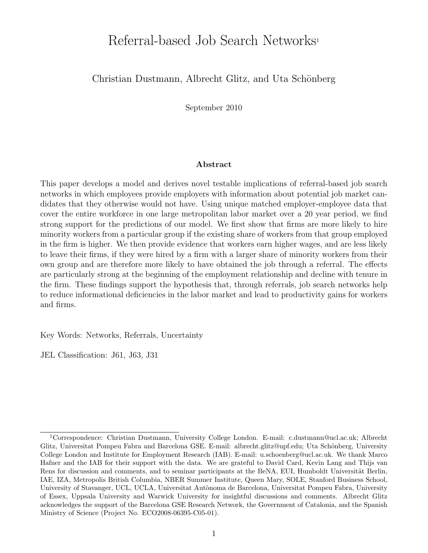# Referral-based Job Search Networks<sup>1</sup>

## Christian Dustmann, Albrecht Glitz, and Uta Schönberg

September 2010

#### Abstract

This paper develops a model and derives novel testable implications of referral-based job search networks in which employees provide employers with information about potential job market candidates that they otherwise would not have. Using unique matched employer-employee data that cover the entire workforce in one large metropolitan labor market over a 20 year period, we find strong support for the predictions of our model. We first show that firms are more likely to hire minority workers from a particular group if the existing share of workers from that group employed in the firm is higher. We then provide evidence that workers earn higher wages, and are less likely to leave their firms, if they were hired by a firm with a larger share of minority workers from their own group and are therefore more likely to have obtained the job through a referral. The effects are particularly strong at the beginning of the employment relationship and decline with tenure in the firm. These findings support the hypothesis that, through referrals, job search networks help to reduce informational deficiencies in the labor market and lead to productivity gains for workers and firms.

Key Words: Networks, Referrals, Uncertainty

JEL Classification: J61, J63, J31

<sup>1</sup>Correspondence: Christian Dustmann, University College London. E-mail: c.dustmann@ucl.ac.uk; Albrecht Glitz, Universitat Pompeu Fabra and Barcelona GSE. E-mail: albrecht.glitz@upf.edu; Uta Schönberg, University College London and Institute for Employment Research (IAB). E-mail: u.schoenberg@ucl.ac.uk. We thank Marco Hafner and the IAB for their support with the data. We are grateful to David Card, Kevin Lang and Thijs van Rens for discussion and comments, and to seminar participants at the BeNA, EUI, Humboldt Universität Berlin, IAE, IZA, Metropolis British Columbia, NBER Summer Institute, Queen Mary, SOLE, Stanford Business School, University of Stavanger, UCL, UCLA, Universitat Autònoma de Barcelona, Universitat Pompeu Fabra, University of Essex, Uppsala University and Warwick University for insightful discussions and comments. Albrecht Glitz acknowledges the support of the Barcelona GSE Research Network, the Government of Catalonia, and the Spanish Ministry of Science (Project No. ECO2008-06395-C05-01).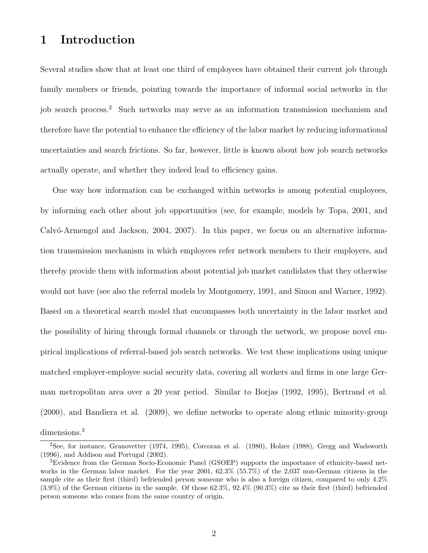## 1 Introduction

Several studies show that at least one third of employees have obtained their current job through family members or friends, pointing towards the importance of informal social networks in the job search process.<sup>2</sup> Such networks may serve as an information transmission mechanism and therefore have the potential to enhance the efficiency of the labor market by reducing informational uncertainties and search frictions. So far, however, little is known about how job search networks actually operate, and whether they indeed lead to efficiency gains.

One way how information can be exchanged within networks is among potential employees, by informing each other about job opportunities (see, for example, models by Topa, 2001, and Calvó-Armengol and Jackson, 2004, 2007). In this paper, we focus on an alternative information transmission mechanism in which employees refer network members to their employers, and thereby provide them with information about potential job market candidates that they otherwise would not have (see also the referral models by Montgomery, 1991, and Simon and Warner, 1992). Based on a theoretical search model that encompasses both uncertainty in the labor market and the possibility of hiring through formal channels or through the network, we propose novel empirical implications of referral-based job search networks. We test these implications using unique matched employer-employee social security data, covering all workers and firms in one large German metropolitan area over a 20 year period. Similar to Borjas (1992, 1995), Bertrand et al. (2000), and Bandiera et al. (2009), we define networks to operate along ethnic minority-group dimensions.<sup>3</sup>

<sup>2</sup>See, for instance, Granovetter (1974, 1995), Corcoran et al. (1980), Holzer (1988), Gregg and Wadsworth (1996), and Addison and Portugal (2002).

<sup>3</sup>Evidence from the German Socio-Economic Panel (GSOEP) supports the importance of ethnicity-based networks in the German labor market. For the year 2001, 62.3% (55.7%) of the 2,037 non-German citizens in the sample cite as their first (third) befriended person someone who is also a foreign citizen, compared to only 4.2% (3.9%) of the German citizens in the sample. Of those 62.3%, 92.4% (90.3%) cite as their first (third) befriended person someone who comes from the same country of origin.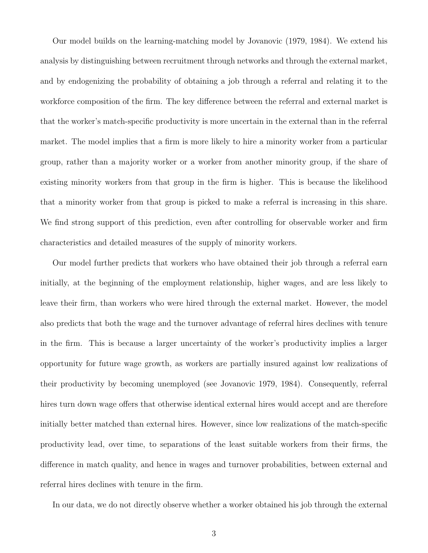Our model builds on the learning-matching model by Jovanovic (1979, 1984). We extend his analysis by distinguishing between recruitment through networks and through the external market, and by endogenizing the probability of obtaining a job through a referral and relating it to the workforce composition of the firm. The key difference between the referral and external market is that the worker's match-specific productivity is more uncertain in the external than in the referral market. The model implies that a firm is more likely to hire a minority worker from a particular group, rather than a majority worker or a worker from another minority group, if the share of existing minority workers from that group in the firm is higher. This is because the likelihood that a minority worker from that group is picked to make a referral is increasing in this share. We find strong support of this prediction, even after controlling for observable worker and firm characteristics and detailed measures of the supply of minority workers.

Our model further predicts that workers who have obtained their job through a referral earn initially, at the beginning of the employment relationship, higher wages, and are less likely to leave their firm, than workers who were hired through the external market. However, the model also predicts that both the wage and the turnover advantage of referral hires declines with tenure in the firm. This is because a larger uncertainty of the worker's productivity implies a larger opportunity for future wage growth, as workers are partially insured against low realizations of their productivity by becoming unemployed (see Jovanovic 1979, 1984). Consequently, referral hires turn down wage offers that otherwise identical external hires would accept and are therefore initially better matched than external hires. However, since low realizations of the match-specific productivity lead, over time, to separations of the least suitable workers from their firms, the difference in match quality, and hence in wages and turnover probabilities, between external and referral hires declines with tenure in the firm.

In our data, we do not directly observe whether a worker obtained his job through the external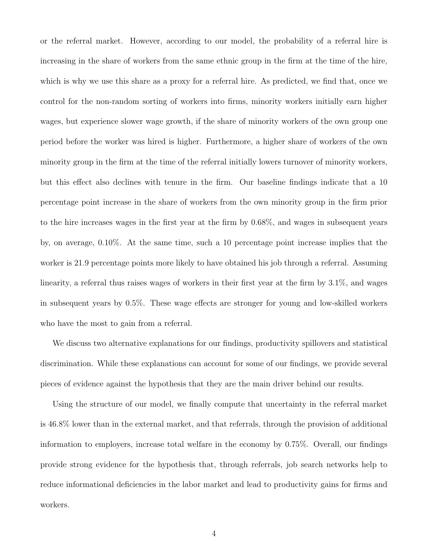or the referral market. However, according to our model, the probability of a referral hire is increasing in the share of workers from the same ethnic group in the firm at the time of the hire, which is why we use this share as a proxy for a referral hire. As predicted, we find that, once we control for the non-random sorting of workers into firms, minority workers initially earn higher wages, but experience slower wage growth, if the share of minority workers of the own group one period before the worker was hired is higher. Furthermore, a higher share of workers of the own minority group in the firm at the time of the referral initially lowers turnover of minority workers, but this effect also declines with tenure in the firm. Our baseline findings indicate that a 10 percentage point increase in the share of workers from the own minority group in the firm prior to the hire increases wages in the first year at the firm by 0.68%, and wages in subsequent years by, on average, 0.10%. At the same time, such a 10 percentage point increase implies that the worker is 21.9 percentage points more likely to have obtained his job through a referral. Assuming linearity, a referral thus raises wages of workers in their first year at the firm by 3.1%, and wages in subsequent years by 0.5%. These wage effects are stronger for young and low-skilled workers who have the most to gain from a referral.

We discuss two alternative explanations for our findings, productivity spillovers and statistical discrimination. While these explanations can account for some of our findings, we provide several pieces of evidence against the hypothesis that they are the main driver behind our results.

Using the structure of our model, we finally compute that uncertainty in the referral market is 46.8% lower than in the external market, and that referrals, through the provision of additional information to employers, increase total welfare in the economy by 0.75%. Overall, our findings provide strong evidence for the hypothesis that, through referrals, job search networks help to reduce informational deficiencies in the labor market and lead to productivity gains for firms and workers.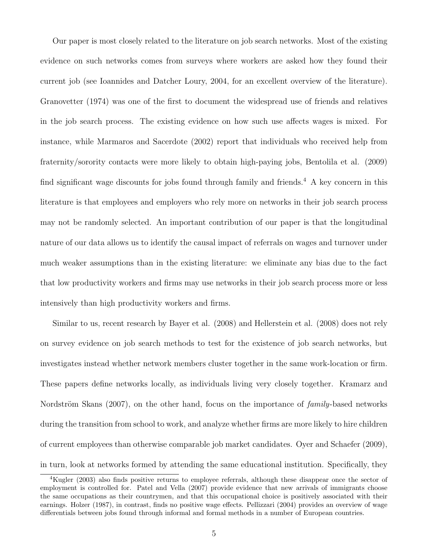Our paper is most closely related to the literature on job search networks. Most of the existing evidence on such networks comes from surveys where workers are asked how they found their current job (see Ioannides and Datcher Loury, 2004, for an excellent overview of the literature). Granovetter (1974) was one of the first to document the widespread use of friends and relatives in the job search process. The existing evidence on how such use affects wages is mixed. For instance, while Marmaros and Sacerdote (2002) report that individuals who received help from fraternity/sorority contacts were more likely to obtain high-paying jobs, Bentolila et al. (2009) find significant wage discounts for jobs found through family and friends.<sup>4</sup> A key concern in this literature is that employees and employers who rely more on networks in their job search process may not be randomly selected. An important contribution of our paper is that the longitudinal nature of our data allows us to identify the causal impact of referrals on wages and turnover under much weaker assumptions than in the existing literature: we eliminate any bias due to the fact that low productivity workers and firms may use networks in their job search process more or less intensively than high productivity workers and firms.

Similar to us, recent research by Bayer et al. (2008) and Hellerstein et al. (2008) does not rely on survey evidence on job search methods to test for the existence of job search networks, but investigates instead whether network members cluster together in the same work-location or firm. These papers define networks locally, as individuals living very closely together. Kramarz and Nordström Skans (2007), on the other hand, focus on the importance of *family*-based networks during the transition from school to work, and analyze whether firms are more likely to hire children of current employees than otherwise comparable job market candidates. Oyer and Schaefer (2009), in turn, look at networks formed by attending the same educational institution. Specifically, they

<sup>4</sup>Kugler (2003) also finds positive returns to employee referrals, although these disappear once the sector of employment is controlled for. Patel and Vella (2007) provide evidence that new arrivals of immigrants choose the same occupations as their countrymen, and that this occupational choice is positively associated with their earnings. Holzer (1987), in contrast, finds no positive wage effects. Pellizzari (2004) provides an overview of wage differentials between jobs found through informal and formal methods in a number of European countries.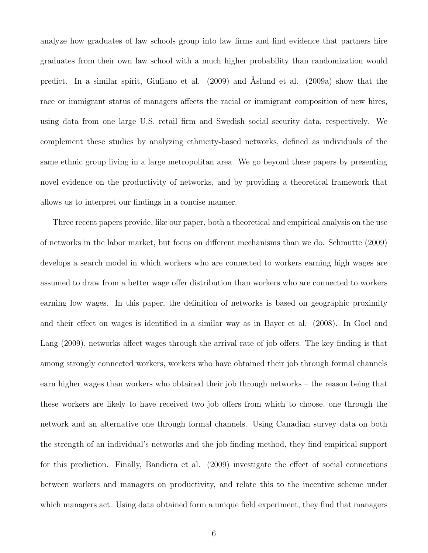analyze how graduates of law schools group into law firms and find evidence that partners hire graduates from their own law school with a much higher probability than randomization would predict. In a similar spirit, Giuliano et al. (2009) and Åslund et al. (2009a) show that the race or immigrant status of managers affects the racial or immigrant composition of new hires, using data from one large U.S. retail firm and Swedish social security data, respectively. We complement these studies by analyzing ethnicity-based networks, defined as individuals of the same ethnic group living in a large metropolitan area. We go beyond these papers by presenting novel evidence on the productivity of networks, and by providing a theoretical framework that allows us to interpret our findings in a concise manner.

Three recent papers provide, like our paper, both a theoretical and empirical analysis on the use of networks in the labor market, but focus on different mechanisms than we do. Schmutte (2009) develops a search model in which workers who are connected to workers earning high wages are assumed to draw from a better wage offer distribution than workers who are connected to workers earning low wages. In this paper, the definition of networks is based on geographic proximity and their effect on wages is identified in a similar way as in Bayer et al. (2008). In Goel and Lang (2009), networks affect wages through the arrival rate of job offers. The key finding is that among strongly connected workers, workers who have obtained their job through formal channels earn higher wages than workers who obtained their job through networks – the reason being that these workers are likely to have received two job offers from which to choose, one through the network and an alternative one through formal channels. Using Canadian survey data on both the strength of an individual's networks and the job finding method, they find empirical support for this prediction. Finally, Bandiera et al. (2009) investigate the effect of social connections between workers and managers on productivity, and relate this to the incentive scheme under which managers act. Using data obtained form a unique field experiment, they find that managers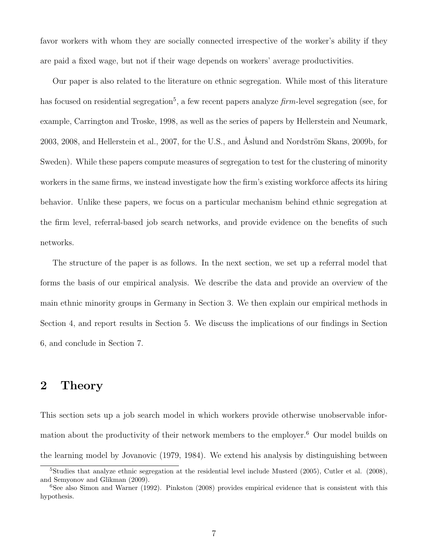favor workers with whom they are socially connected irrespective of the worker's ability if they are paid a fixed wage, but not if their wage depends on workers' average productivities.

Our paper is also related to the literature on ethnic segregation. While most of this literature has focused on residential segregation<sup>5</sup>, a few recent papers analyze  $\lim$ -level segregation (see, for example, Carrington and Troske, 1998, as well as the series of papers by Hellerstein and Neumark, 2003, 2008, and Hellerstein et al., 2007, for the U.S., and Åslund and Nordström Skans, 2009b, for Sweden). While these papers compute measures of segregation to test for the clustering of minority workers in the same firms, we instead investigate how the firm's existing workforce affects its hiring behavior. Unlike these papers, we focus on a particular mechanism behind ethnic segregation at the firm level, referral-based job search networks, and provide evidence on the benefits of such networks.

The structure of the paper is as follows. In the next section, we set up a referral model that forms the basis of our empirical analysis. We describe the data and provide an overview of the main ethnic minority groups in Germany in Section 3. We then explain our empirical methods in Section 4, and report results in Section 5. We discuss the implications of our findings in Section 6, and conclude in Section 7.

## 2 Theory

This section sets up a job search model in which workers provide otherwise unobservable information about the productivity of their network members to the employer.<sup>6</sup> Our model builds on the learning model by Jovanovic (1979, 1984). We extend his analysis by distinguishing between

<sup>&</sup>lt;sup>5</sup>Studies that analyze ethnic segregation at the residential level include Musterd (2005), Cutler et al. (2008), and Semyonov and Glikman (2009).

<sup>&</sup>lt;sup>6</sup>See also Simon and Warner (1992). Pinkston (2008) provides empirical evidence that is consistent with this hypothesis.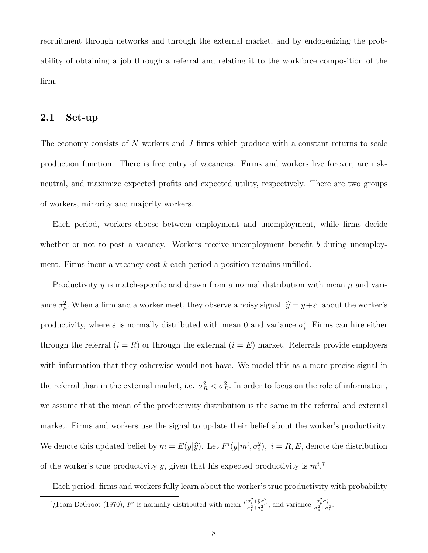recruitment through networks and through the external market, and by endogenizing the probability of obtaining a job through a referral and relating it to the workforce composition of the firm.

## 2.1 Set-up

The economy consists of N workers and J firms which produce with a constant returns to scale production function. There is free entry of vacancies. Firms and workers live forever, are riskneutral, and maximize expected profits and expected utility, respectively. There are two groups of workers, minority and majority workers.

Each period, workers choose between employment and unemployment, while firms decide whether or not to post a vacancy. Workers receive unemployment benefit  $b$  during unemployment. Firms incur a vacancy cost  $k$  each period a position remains unfilled.

Productivity y is match-specific and drawn from a normal distribution with mean  $\mu$  and variance  $\sigma_{\mu}^2$ . When a firm and a worker meet, they observe a noisy signal  $\hat{y} = y + \varepsilon$  about the worker's productivity, where  $\varepsilon$  is normally distributed with mean 0 and variance  $\sigma_i^2$ . Firms can hire either through the referral  $(i = R)$  or through the external  $(i = E)$  market. Referrals provide employers with information that they otherwise would not have. We model this as a more precise signal in the referral than in the external market, i.e.  $\sigma_R^2 < \sigma_E^2$ . In order to focus on the role of information, we assume that the mean of the productivity distribution is the same in the referral and external market. Firms and workers use the signal to update their belief about the worker's productivity. We denote this updated belief by  $m = E(y|\hat{y})$ . Let  $F^i(y|m^i, \sigma_i^2)$ ,  $i = R, E$ , denote the distribution of the worker's true productivity y, given that his expected productivity is  $m^{i}$ .

Each period, firms and workers fully learn about the worker's true productivity with probability

<sup>&</sup>lt;sup>7</sup> is normally distributed with mean  $\frac{\mu \sigma_i^2 + \hat{y} \sigma_\mu^2}{\sigma_i^2 + \sigma_\mu^2}$ , and variance  $\frac{\sigma_\mu^2 \sigma_i^2}{\sigma_\mu^2 + \sigma_i^2}$ .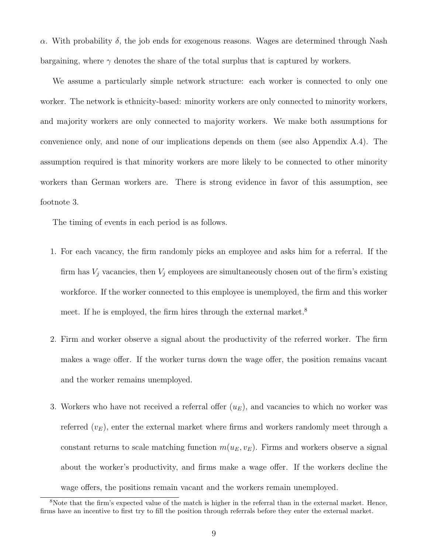α. With probability δ, the job ends for exogenous reasons. Wages are determined through Nash bargaining, where  $\gamma$  denotes the share of the total surplus that is captured by workers.

We assume a particularly simple network structure: each worker is connected to only one worker. The network is ethnicity-based: minority workers are only connected to minority workers, and majority workers are only connected to majority workers. We make both assumptions for convenience only, and none of our implications depends on them (see also Appendix A.4). The assumption required is that minority workers are more likely to be connected to other minority workers than German workers are. There is strong evidence in favor of this assumption, see footnote 3.

The timing of events in each period is as follows.

- 1. For each vacancy, the firm randomly picks an employee and asks him for a referral. If the firm has  $V_j$  vacancies, then  $V_j$  employees are simultaneously chosen out of the firm's existing workforce. If the worker connected to this employee is unemployed, the firm and this worker meet. If he is employed, the firm hires through the external market.<sup>8</sup>
- 2. Firm and worker observe a signal about the productivity of the referred worker. The firm makes a wage offer. If the worker turns down the wage offer, the position remains vacant and the worker remains unemployed.
- 3. Workers who have not received a referral offer  $(u_E)$ , and vacancies to which no worker was referred  $(v_E)$ , enter the external market where firms and workers randomly meet through a constant returns to scale matching function  $m(u_E, v_E)$ . Firms and workers observe a signal about the worker's productivity, and firms make a wage offer. If the workers decline the wage offers, the positions remain vacant and the workers remain unemployed.

<sup>8</sup>Note that the firm's expected value of the match is higher in the referral than in the external market. Hence, firms have an incentive to first try to fill the position through referrals before they enter the external market.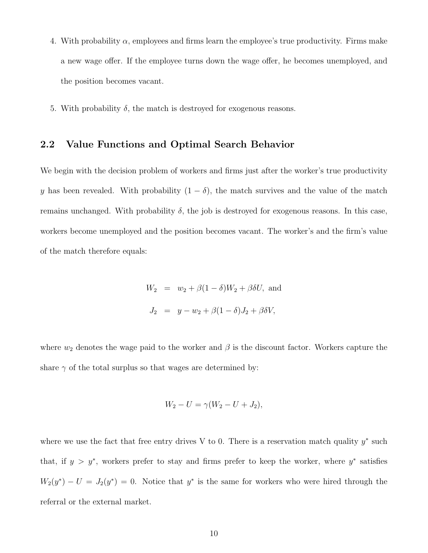- 4. With probability  $\alpha$ , employees and firms learn the employee's true productivity. Firms make a new wage offer. If the employee turns down the wage offer, he becomes unemployed, and the position becomes vacant.
- 5. With probability  $\delta$ , the match is destroyed for exogenous reasons.

### 2.2 Value Functions and Optimal Search Behavior

We begin with the decision problem of workers and firms just after the worker's true productivity y has been revealed. With probability  $(1 - \delta)$ , the match survives and the value of the match remains unchanged. With probability  $\delta$ , the job is destroyed for exogenous reasons. In this case, workers become unemployed and the position becomes vacant. The worker's and the firm's value of the match therefore equals:

$$
W_2 = w_2 + \beta(1 - \delta)W_2 + \beta \delta U, \text{ and}
$$
  

$$
J_2 = y - w_2 + \beta(1 - \delta)J_2 + \beta \delta V,
$$

where  $w_2$  denotes the wage paid to the worker and  $\beta$  is the discount factor. Workers capture the share  $\gamma$  of the total surplus so that wages are determined by:

$$
W_2 - U = \gamma (W_2 - U + J_2),
$$

where we use the fact that free entry drives V to 0. There is a reservation match quality  $y^*$  such that, if  $y > y^*$ , workers prefer to stay and firms prefer to keep the worker, where  $y^*$  satisfies  $W_2(y^*) - U = J_2(y^*) = 0$ . Notice that  $y^*$  is the same for workers who were hired through the referral or the external market.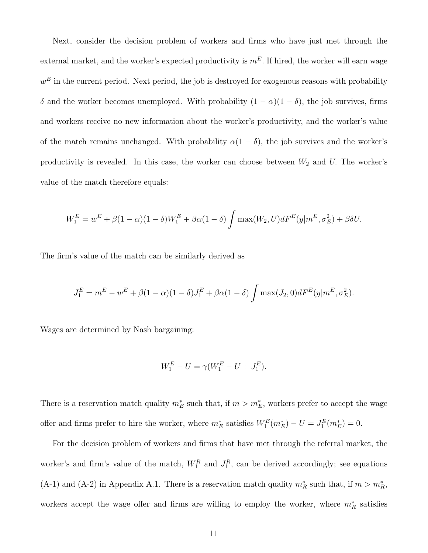Next, consider the decision problem of workers and firms who have just met through the external market, and the worker's expected productivity is  $m<sup>E</sup>$ . If hired, the worker will earn wage  $w<sup>E</sup>$  in the current period. Next period, the job is destroyed for exogenous reasons with probability δ and the worker becomes unemployed. With probability  $(1 - \alpha)(1 - \delta)$ , the job survives, firms and workers receive no new information about the worker's productivity, and the worker's value of the match remains unchanged. With probability  $\alpha(1-\delta)$ , the job survives and the worker's productivity is revealed. In this case, the worker can choose between  $W_2$  and U. The worker's value of the match therefore equals:

$$
W_1^E = w^E + \beta(1-\alpha)(1-\delta)W_1^E + \beta\alpha(1-\delta)\int \max(W_2, U)dF^E(y|m^E, \sigma_E^2) + \beta\delta U.
$$

The firm's value of the match can be similarly derived as

$$
J_1^E = m^E - w^E + \beta (1 - \alpha)(1 - \delta)J_1^E + \beta \alpha (1 - \delta) \int \max(J_2, 0) dF^E(y|m^E, \sigma_E^2).
$$

Wages are determined by Nash bargaining:

$$
W_1^E - U = \gamma (W_1^E - U + J_1^E).
$$

There is a reservation match quality  $m_E^*$  such that, if  $m > m_E^*$ , workers prefer to accept the wage offer and firms prefer to hire the worker, where  $m_E^*$  satisfies  $W_1^E(m_E^*) - U = J_1^E(m_E^*) = 0$ .

For the decision problem of workers and firms that have met through the referral market, the worker's and firm's value of the match,  $W_1^R$  and  $J_1^R$ , can be derived accordingly; see equations (A-1) and (A-2) in Appendix A.1. There is a reservation match quality  $m_R^*$  such that, if  $m > m_R^*$ , workers accept the wage offer and firms are willing to employ the worker, where  $m_R^*$  satisfies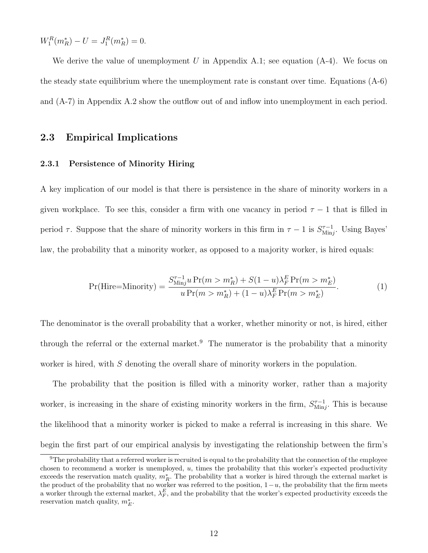$W_1^R(m_R^*) - U = J_1^R(m_R^*) = 0.$ 

We derive the value of unemployment U in Appendix A.1; see equation  $(A-4)$ . We focus on the steady state equilibrium where the unemployment rate is constant over time. Equations (A-6) and (A-7) in Appendix A.2 show the outflow out of and inflow into unemployment in each period.

### 2.3 Empirical Implications

#### 2.3.1 Persistence of Minority Hiring

A key implication of our model is that there is persistence in the share of minority workers in a given workplace. To see this, consider a firm with one vacancy in period  $\tau - 1$  that is filled in period  $\tau$ . Suppose that the share of minority workers in this firm in  $\tau - 1$  is  $S_{\text{Min}}^{\tau-1}$  $\lim_{M\to\infty}$ . Using Bayes' law, the probability that a minority worker, as opposed to a majority worker, is hired equals:

$$
Pr(Hire=Minority) = \frac{S_{Minj}^{\tau-1} u Pr(m > m_R^*) + S(1 - u)\lambda_F^E Pr(m > m_E^*)}{u Pr(m > m_R^*) + (1 - u)\lambda_F^E Pr(m > m_E^*)}.
$$
(1)

The denominator is the overall probability that a worker, whether minority or not, is hired, either through the referral or the external market.<sup>9</sup> The numerator is the probability that a minority worker is hired, with S denoting the overall share of minority workers in the population.

The probability that the position is filled with a minority worker, rather than a majority worker, is increasing in the share of existing minority workers in the firm,  $S_{\text{Min}}^{\tau-1}$  $\frac{\tau-1}{\text{Min}j}$ . This is because the likelihood that a minority worker is picked to make a referral is increasing in this share. We begin the first part of our empirical analysis by investigating the relationship between the firm's

<sup>&</sup>lt;sup>9</sup>The probability that a referred worker is recruited is equal to the probability that the connection of the employee chosen to recommend a worker is unemployed, u, times the probability that this worker's expected productivity exceeds the reservation match quality,  $m_R^*$ . The probability that a worker is hired through the external market is the product of the probability that no worker was referred to the position,  $1-u$ , the probability that the firm meets a worker through the external market,  $\lambda_F^E$ , and the probability that the worker's expected productivity exceeds the reservation match quality,  $m_E^*$ .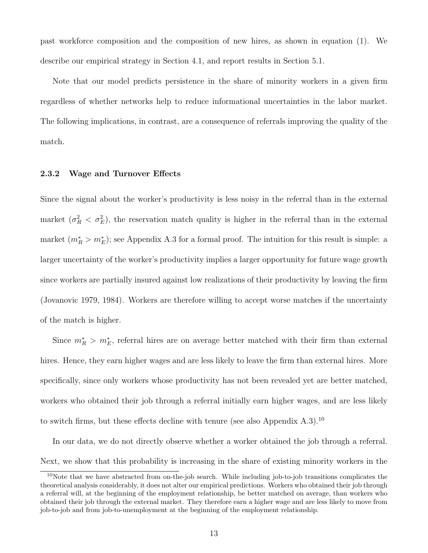past workforce composition and the composition of new hires, as shown in equation (1). We describe our empirical strategy in Section 4.1, and report results in Section 5.1.

Note that our model predicts persistence in the share of minority workers in a given firm regardless of whether networks help to reduce informational uncertainties in the labor market. The following implications, in contrast, are a consequence of referrals improving the quality of the match.

#### 2.3.2 Wage and Turnover Effects

Since the signal about the worker's productivity is less noisy in the referral than in the external market  $(\sigma_R^2 < \sigma_E^2)$ , the reservation match quality is higher in the referral than in the external market  $(m_R^* > m_E^*)$ ; see Appendix A.3 for a formal proof. The intuition for this result is simple: a larger uncertainty of the worker's productivity implies a larger opportunity for future wage growth since workers are partially insured against low realizations of their productivity by leaving the firm (Jovanovic 1979, 1984). Workers are therefore willing to accept worse matches if the uncertainty of the match is higher.

Since  $m_R^*$  >  $m_E^*$ , referral hires are on average better matched with their firm than external hires. Hence, they earn higher wages and are less likely to leave the firm than external hires. More specifically, since only workers whose productivity has not been revealed yet are better matched, workers who obtained their job through a referral initially earn higher wages, and are less likely to switch firms, but these effects decline with tenure (see also Appendix  $(A.3)$ .<sup>10</sup>

In our data, we do not directly observe whether a worker obtained the job through a referral. Next, we show that this probability is increasing in the share of existing minority workers in the

<sup>&</sup>lt;sup>10</sup>Note that we have abstracted from on-the-job search. While including job-to-job transitions complicates the theoretical analysis considerably, it does not alter our empirical predictions. Workers who obtained their job through a referral will, at the beginning of the employment relationship, be better matched on average, than workers who obtained their job through the external market. They therefore earn a higher wage and are less likely to move from job-to-job and from job-to-unemployment at the beginning of the employment relationship.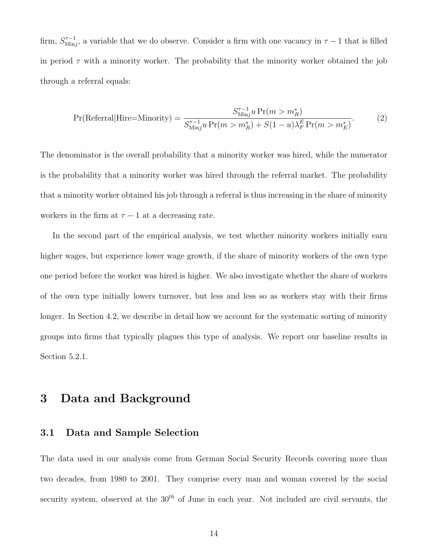firm,  $S_{\text{Min}}^{\tau-1}$  $\frac{\tau-1}{\text{Min}j}$ , a variable that we do observe. Consider a firm with one vacancy in  $\tau-1$  that is filled in period  $\tau$  with a minority worker. The probability that the minority worker obtained the job through a referral equals:

$$
Pr(\text{Referral}|\text{Hire=Minority}) = \frac{S_{\text{Min}j}^{\tau-1} u \Pr(m > m_R^*)}{S_{\text{Min}j}^{\tau-1} u \Pr(m > m_R^*) + S(1 - u)\lambda_F^E \Pr(m > m_E^*)}.\tag{2}
$$

The denominator is the overall probability that a minority worker was hired, while the numerator is the probability that a minority worker was hired through the referral market. The probability that a minority worker obtained his job through a referral is thus increasing in the share of minority workers in the firm at  $\tau - 1$  at a decreasing rate.

In the second part of the empirical analysis, we test whether minority workers initially earn higher wages, but experience lower wage growth, if the share of minority workers of the own type one period before the worker was hired is higher. We also investigate whether the share of workers of the own type initially lowers turnover, but less and less so as workers stay with their firms longer. In Section 4.2, we describe in detail how we account for the systematic sorting of minority groups into firms that typically plagues this type of analysis. We report our baseline results in Section 5.2.1.

## 3 Data and Background

### 3.1 Data and Sample Selection

The data used in our analysis come from German Social Security Records covering more than two decades, from 1980 to 2001. They comprise every man and woman covered by the social security system, observed at the  $30<sup>th</sup>$  of June in each year. Not included are civil servants, the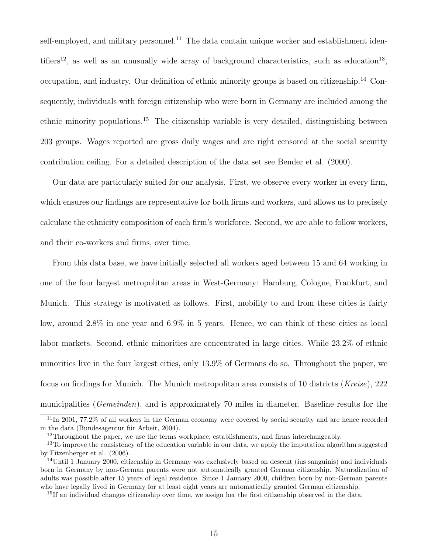self-employed, and military personnel.<sup>11</sup> The data contain unique worker and establishment identifiers<sup>12</sup>, as well as an unusually wide array of background characteristics, such as education<sup>13</sup>, occupation, and industry. Our definition of ethnic minority groups is based on citizenship.<sup>14</sup> Consequently, individuals with foreign citizenship who were born in Germany are included among the ethnic minority populations.<sup>15</sup> The citizenship variable is very detailed, distinguishing between 203 groups. Wages reported are gross daily wages and are right censored at the social security contribution ceiling. For a detailed description of the data set see Bender et al. (2000).

Our data are particularly suited for our analysis. First, we observe every worker in every firm, which ensures our findings are representative for both firms and workers, and allows us to precisely calculate the ethnicity composition of each firm's workforce. Second, we are able to follow workers, and their co-workers and firms, over time.

From this data base, we have initially selected all workers aged between 15 and 64 working in one of the four largest metropolitan areas in West-Germany: Hamburg, Cologne, Frankfurt, and Munich. This strategy is motivated as follows. First, mobility to and from these cities is fairly low, around 2.8% in one year and 6.9% in 5 years. Hence, we can think of these cities as local labor markets. Second, ethnic minorities are concentrated in large cities. While 23.2% of ethnic minorities live in the four largest cities, only 13.9% of Germans do so. Throughout the paper, we focus on findings for Munich. The Munich metropolitan area consists of 10 districts (Kreise), 222 municipalities (*Gemeinden*), and is approximately 70 miles in diameter. Baseline results for the

<sup>11</sup>In 2001, 77.2% of all workers in the German economy were covered by social security and are hence recorded in the data (Bundesagentur für Arbeit,  $2004$ ).

<sup>&</sup>lt;sup>12</sup>Throughout the paper, we use the terms workplace, establishments, and firms interchangeably.

<sup>&</sup>lt;sup>13</sup>To improve the consistency of the education variable in our data, we apply the imputation algorithm suggested by Fitzenberger et al. (2006).

 $14$ Until 1 January 2000, citizenship in Germany was exclusively based on descent (ius sanguinis) and individuals born in Germany by non-German parents were not automatically granted German citizenship. Naturalization of adults was possible after 15 years of legal residence. Since 1 January 2000, children born by non-German parents who have legally lived in Germany for at least eight years are automatically granted German citizenship.

 $^{15}$ If an individual changes citizenship over time, we assign her the first citizenship observed in the data.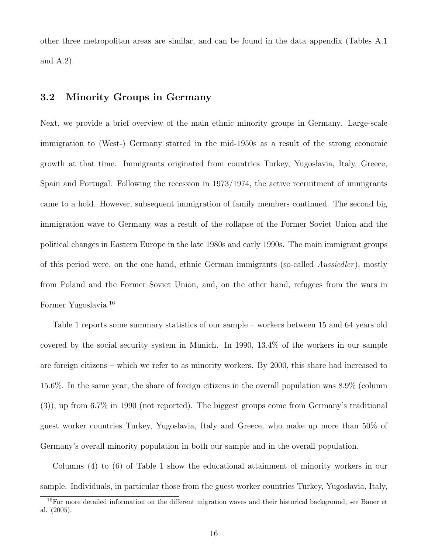other three metropolitan areas are similar, and can be found in the data appendix (Tables A.1 and A.2).

## 3.2 Minority Groups in Germany

Next, we provide a brief overview of the main ethnic minority groups in Germany. Large-scale immigration to (West-) Germany started in the mid-1950s as a result of the strong economic growth at that time. Immigrants originated from countries Turkey, Yugoslavia, Italy, Greece, Spain and Portugal. Following the recession in 1973/1974, the active recruitment of immigrants came to a hold. However, subsequent immigration of family members continued. The second big immigration wave to Germany was a result of the collapse of the Former Soviet Union and the political changes in Eastern Europe in the late 1980s and early 1990s. The main immigrant groups of this period were, on the one hand, ethnic German immigrants (so-called Aussiedler), mostly from Poland and the Former Soviet Union, and, on the other hand, refugees from the wars in Former Yugoslavia.<sup>16</sup>

Table 1 reports some summary statistics of our sample – workers between 15 and 64 years old covered by the social security system in Munich. In 1990, 13.4% of the workers in our sample are foreign citizens – which we refer to as minority workers. By 2000, this share had increased to 15.6%. In the same year, the share of foreign citizens in the overall population was 8.9% (column (3)), up from 6.7% in 1990 (not reported). The biggest groups come from Germany's traditional guest worker countries Turkey, Yugoslavia, Italy and Greece, who make up more than 50% of Germany's overall minority population in both our sample and in the overall population.

Columns (4) to (6) of Table 1 show the educational attainment of minority workers in our sample. Individuals, in particular those from the guest worker countries Turkey, Yugoslavia, Italy,

<sup>16</sup>For more detailed information on the different migration waves and their historical background, see Bauer et al. (2005).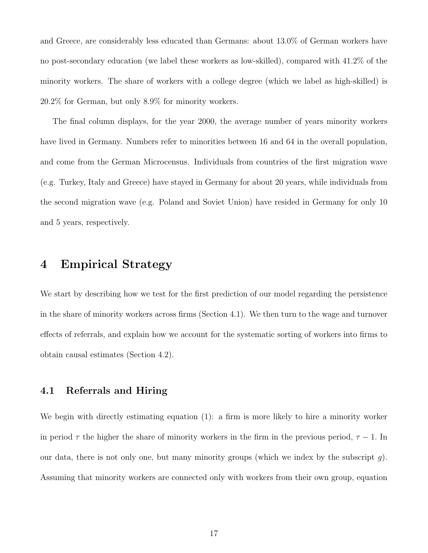and Greece, are considerably less educated than Germans: about 13.0% of German workers have no post-secondary education (we label these workers as low-skilled), compared with 41.2% of the minority workers. The share of workers with a college degree (which we label as high-skilled) is 20.2% for German, but only 8.9% for minority workers.

The final column displays, for the year 2000, the average number of years minority workers have lived in Germany. Numbers refer to minorities between 16 and 64 in the overall population, and come from the German Microcensus. Individuals from countries of the first migration wave (e.g. Turkey, Italy and Greece) have stayed in Germany for about 20 years, while individuals from the second migration wave (e.g. Poland and Soviet Union) have resided in Germany for only 10 and 5 years, respectively.

## 4 Empirical Strategy

We start by describing how we test for the first prediction of our model regarding the persistence in the share of minority workers across firms (Section 4.1). We then turn to the wage and turnover effects of referrals, and explain how we account for the systematic sorting of workers into firms to obtain causal estimates (Section 4.2).

## 4.1 Referrals and Hiring

We begin with directly estimating equation (1): a firm is more likely to hire a minority worker in period  $\tau$  the higher the share of minority workers in the firm in the previous period,  $\tau - 1$ . In our data, there is not only one, but many minority groups (which we index by the subscript  $q$ ). Assuming that minority workers are connected only with workers from their own group, equation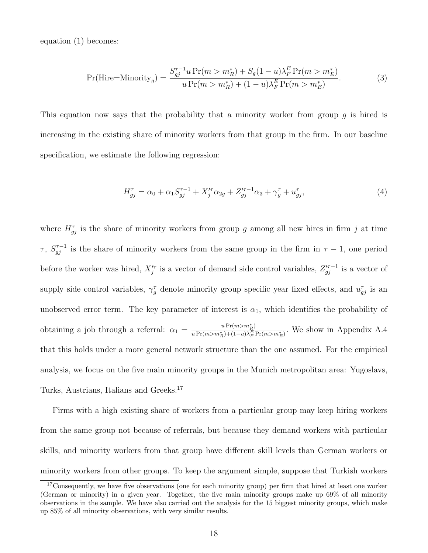equation (1) becomes:

$$
\Pr(\text{Hire=Minority}_g) = \frac{S_{gj}^{\tau-1}u \Pr(m > m_R^*) + S_g(1-u)\lambda_F^E \Pr(m > m_E^*)}{u \Pr(m > m_R^*) + (1-u)\lambda_F^E \Pr(m > m_E^*)}.\tag{3}
$$

This equation now says that the probability that a minority worker from group  $g$  is hired is increasing in the existing share of minority workers from that group in the firm. In our baseline specification, we estimate the following regression:

$$
H_{gj}^{\tau} = \alpha_0 + \alpha_1 S_{gj}^{\tau - 1} + X_j^{\prime \tau} \alpha_{2g} + Z_{gj}^{\prime \tau - 1} \alpha_3 + \gamma_g^{\tau} + u_{gj}^{\tau}, \tag{4}
$$

where  $H_{gj}^{\tau}$  is the share of minority workers from group g among all new hires in firm j at time  $\tau$ ,  $S_{gj}^{\tau-1}$  is the share of minority workers from the same group in the firm in  $\tau-1$ , one period before the worker was hired,  $X_j^{\prime\tau}$  is a vector of demand side control variables,  $Z_{gj}^{\prime\tau-1}$  is a vector of supply side control variables,  $\gamma_g^{\tau}$  denote minority group specific year fixed effects, and  $u_{gj}^{\tau}$  is an unobserved error term. The key parameter of interest is  $\alpha_1$ , which identifies the probability of obtaining a job through a referral:  $\alpha_1 = \frac{u \Pr(m > m_R^*)}{u \Pr(m > m^*) + (1 - u)\lambda_E^2}$  $\frac{u \Pr(m>m_R)}{u \Pr(m>m_R^*) + (1-u)\lambda_F^E \Pr(m>m_E^*)}$ . We show in Appendix A.4 that this holds under a more general network structure than the one assumed. For the empirical analysis, we focus on the five main minority groups in the Munich metropolitan area: Yugoslavs, Turks, Austrians, Italians and Greeks.<sup>17</sup>

Firms with a high existing share of workers from a particular group may keep hiring workers from the same group not because of referrals, but because they demand workers with particular skills, and minority workers from that group have different skill levels than German workers or minority workers from other groups. To keep the argument simple, suppose that Turkish workers

<sup>&</sup>lt;sup>17</sup>Consequently, we have five observations (one for each minority group) per firm that hired at least one worker (German or minority) in a given year. Together, the five main minority groups make up 69% of all minority observations in the sample. We have also carried out the analysis for the 15 biggest minority groups, which make up 85% of all minority observations, with very similar results.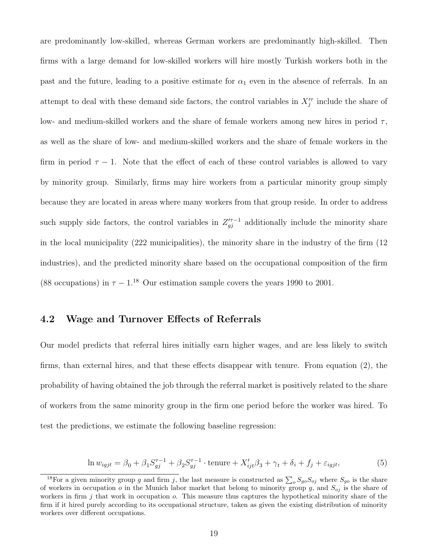are predominantly low-skilled, whereas German workers are predominantly high-skilled. Then firms with a large demand for low-skilled workers will hire mostly Turkish workers both in the past and the future, leading to a positive estimate for  $\alpha_1$  even in the absence of referrals. In an attempt to deal with these demand side factors, the control variables in  $X_j^{\prime\tau}$  include the share of low- and medium-skilled workers and the share of female workers among new hires in period  $\tau$ , as well as the share of low- and medium-skilled workers and the share of female workers in the firm in period  $\tau - 1$ . Note that the effect of each of these control variables is allowed to vary by minority group. Similarly, firms may hire workers from a particular minority group simply because they are located in areas where many workers from that group reside. In order to address such supply side factors, the control variables in  $Z_{gj}^{(n-1)}$  additionally include the minority share in the local municipality (222 municipalities), the minority share in the industry of the firm (12 industries), and the predicted minority share based on the occupational composition of the firm (88 occupations) in  $\tau - 1^{18}$  Our estimation sample covers the years 1990 to 2001.

### 4.2 Wage and Turnover Effects of Referrals

Our model predicts that referral hires initially earn higher wages, and are less likely to switch firms, than external hires, and that these effects disappear with tenure. From equation (2), the probability of having obtained the job through the referral market is positively related to the share of workers from the same minority group in the firm one period before the worker was hired. To test the predictions, we estimate the following baseline regression:

$$
\ln w_{igjt} = \beta_0 + \beta_1 S_{gj}^{\tau-1} + \beta_2 S_{gj}^{\tau-1} \cdot \text{tenure} + X_{ijt}'\beta_3 + \gamma_t + \delta_i + f_j + \varepsilon_{igjt},\tag{5}
$$

<sup>&</sup>lt;sup>18</sup>For a given minority group g and firm j, the last measure is constructed as  $\sum_o S_{go}S_{oj}$  where  $S_{go}$  is the share of workers in occupation o in the Munich labor market that belong to minority group g, and  $S_{oj}$  is the share of workers in firm  $j$  that work in occupation  $o$ . This measure thus captures the hypothetical minority share of the firm if it hired purely according to its occupational structure, taken as given the existing distribution of minority workers over different occupations.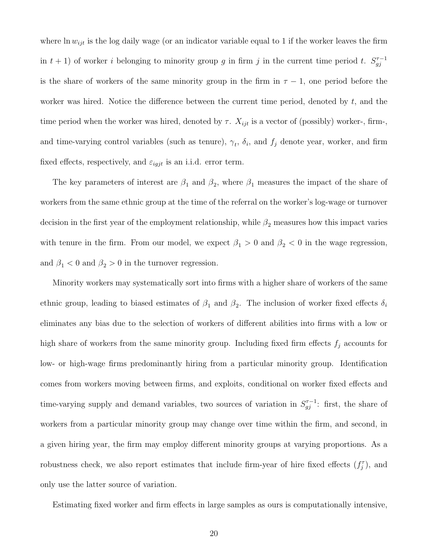where  $\ln w_{ijt}$  is the log daily wage (or an indicator variable equal to 1 if the worker leaves the firm in  $t + 1$ ) of worker i belonging to minority group g in firm j in the current time period t.  $S_{qi}^{\tau-1}$ gj is the share of workers of the same minority group in the firm in  $\tau - 1$ , one period before the worker was hired. Notice the difference between the current time period, denoted by  $t$ , and the time period when the worker was hired, denoted by  $\tau$ .  $X_{ijt}$  is a vector of (possibly) worker-, firm-, and time-varying control variables (such as tenure),  $\gamma_t$ ,  $\delta_i$ , and  $f_j$  denote year, worker, and firm fixed effects, respectively, and  $\varepsilon_{igjt}$  is an i.i.d. error term.

The key parameters of interest are  $\beta_1$  and  $\beta_2$ , where  $\beta_1$  measures the impact of the share of workers from the same ethnic group at the time of the referral on the worker's log-wage or turnover decision in the first year of the employment relationship, while  $\beta_2$  measures how this impact varies with tenure in the firm. From our model, we expect  $\beta_1 > 0$  and  $\beta_2 < 0$  in the wage regression, and  $\beta_1<0$  and  $\beta_2>0$  in the turnover regression.

Minority workers may systematically sort into firms with a higher share of workers of the same ethnic group, leading to biased estimates of  $\beta_1$  and  $\beta_2$ . The inclusion of worker fixed effects  $\delta_i$ eliminates any bias due to the selection of workers of different abilities into firms with a low or high share of workers from the same minority group. Including fixed firm effects  $f_j$  accounts for low- or high-wage firms predominantly hiring from a particular minority group. Identification comes from workers moving between firms, and exploits, conditional on worker fixed effects and time-varying supply and demand variables, two sources of variation in  $S_{gj}^{\tau-1}$ : first, the share of workers from a particular minority group may change over time within the firm, and second, in a given hiring year, the firm may employ different minority groups at varying proportions. As a robustness check, we also report estimates that include firm-year of hire fixed effects  $(f_j^{\tau})$ , and only use the latter source of variation.

Estimating fixed worker and firm effects in large samples as ours is computationally intensive,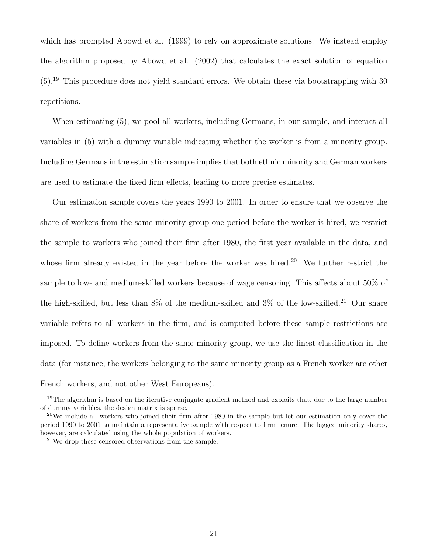which has prompted Abowd et al. (1999) to rely on approximate solutions. We instead employ the algorithm proposed by Abowd et al. (2002) that calculates the exact solution of equation (5).<sup>19</sup> This procedure does not yield standard errors. We obtain these via bootstrapping with 30 repetitions.

When estimating (5), we pool all workers, including Germans, in our sample, and interact all variables in (5) with a dummy variable indicating whether the worker is from a minority group. Including Germans in the estimation sample implies that both ethnic minority and German workers are used to estimate the fixed firm effects, leading to more precise estimates.

Our estimation sample covers the years 1990 to 2001. In order to ensure that we observe the share of workers from the same minority group one period before the worker is hired, we restrict the sample to workers who joined their firm after 1980, the first year available in the data, and whose firm already existed in the year before the worker was hired.<sup>20</sup> We further restrict the sample to low- and medium-skilled workers because of wage censoring. This affects about 50% of the high-skilled, but less than  $8\%$  of the medium-skilled and  $3\%$  of the low-skilled.<sup>21</sup> Our share variable refers to all workers in the firm, and is computed before these sample restrictions are imposed. To define workers from the same minority group, we use the finest classification in the data (for instance, the workers belonging to the same minority group as a French worker are other French workers, and not other West Europeans).

<sup>&</sup>lt;sup>19</sup>The algorithm is based on the iterative conjugate gradient method and exploits that, due to the large number of dummy variables, the design matrix is sparse.

 $20$ We include all workers who joined their firm after 1980 in the sample but let our estimation only cover the period 1990 to 2001 to maintain a representative sample with respect to firm tenure. The lagged minority shares, however, are calculated using the whole population of workers.

<sup>21</sup>We drop these censored observations from the sample.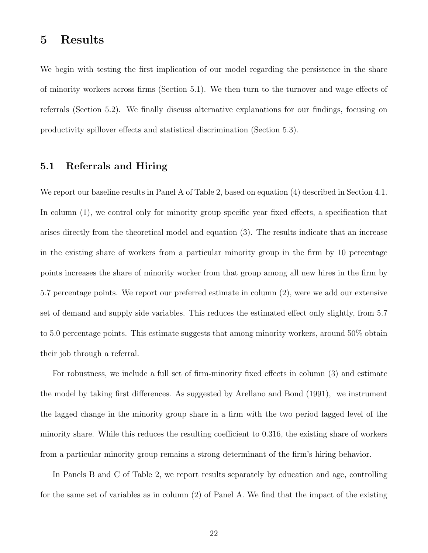## 5 Results

We begin with testing the first implication of our model regarding the persistence in the share of minority workers across firms (Section 5.1). We then turn to the turnover and wage effects of referrals (Section 5.2). We finally discuss alternative explanations for our findings, focusing on productivity spillover effects and statistical discrimination (Section 5.3).

## 5.1 Referrals and Hiring

We report our baseline results in Panel A of Table 2, based on equation  $(4)$  described in Section 4.1. In column  $(1)$ , we control only for minority group specific year fixed effects, a specification that arises directly from the theoretical model and equation (3). The results indicate that an increase in the existing share of workers from a particular minority group in the firm by 10 percentage points increases the share of minority worker from that group among all new hires in the firm by 5.7 percentage points. We report our preferred estimate in column (2), were we add our extensive set of demand and supply side variables. This reduces the estimated effect only slightly, from 5.7 to 5.0 percentage points. This estimate suggests that among minority workers, around 50% obtain their job through a referral.

For robustness, we include a full set of firm-minority fixed effects in column (3) and estimate the model by taking first differences. As suggested by Arellano and Bond (1991), we instrument the lagged change in the minority group share in a firm with the two period lagged level of the minority share. While this reduces the resulting coefficient to 0.316, the existing share of workers from a particular minority group remains a strong determinant of the firm's hiring behavior.

In Panels B and C of Table 2, we report results separately by education and age, controlling for the same set of variables as in column (2) of Panel A. We find that the impact of the existing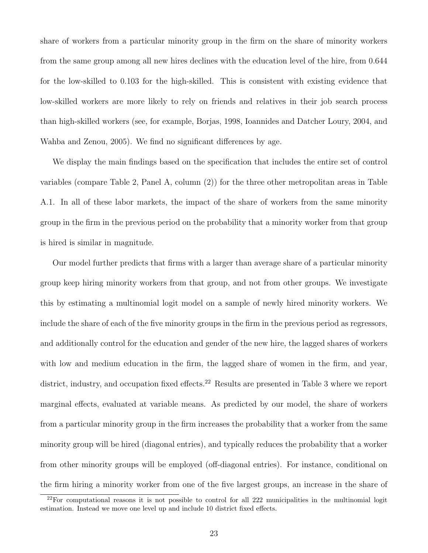share of workers from a particular minority group in the firm on the share of minority workers from the same group among all new hires declines with the education level of the hire, from 0.644 for the low-skilled to 0.103 for the high-skilled. This is consistent with existing evidence that low-skilled workers are more likely to rely on friends and relatives in their job search process than high-skilled workers (see, for example, Borjas, 1998, Ioannides and Datcher Loury, 2004, and Wahba and Zenou, 2005). We find no significant differences by age.

We display the main findings based on the specification that includes the entire set of control variables (compare Table 2, Panel A, column (2)) for the three other metropolitan areas in Table A.1. In all of these labor markets, the impact of the share of workers from the same minority group in the firm in the previous period on the probability that a minority worker from that group is hired is similar in magnitude.

Our model further predicts that firms with a larger than average share of a particular minority group keep hiring minority workers from that group, and not from other groups. We investigate this by estimating a multinomial logit model on a sample of newly hired minority workers. We include the share of each of the five minority groups in the firm in the previous period as regressors, and additionally control for the education and gender of the new hire, the lagged shares of workers with low and medium education in the firm, the lagged share of women in the firm, and year, district, industry, and occupation fixed effects.<sup>22</sup> Results are presented in Table 3 where we report marginal effects, evaluated at variable means. As predicted by our model, the share of workers from a particular minority group in the firm increases the probability that a worker from the same minority group will be hired (diagonal entries), and typically reduces the probability that a worker from other minority groups will be employed (off-diagonal entries). For instance, conditional on the firm hiring a minority worker from one of the five largest groups, an increase in the share of

<sup>22</sup>For computational reasons it is not possible to control for all 222 municipalities in the multinomial logit estimation. Instead we move one level up and include 10 district fixed effects.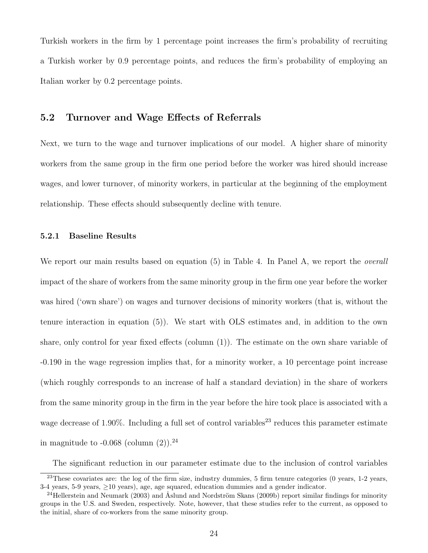Turkish workers in the firm by 1 percentage point increases the firm's probability of recruiting a Turkish worker by 0.9 percentage points, and reduces the firm's probability of employing an Italian worker by 0.2 percentage points.

## 5.2 Turnover and Wage Effects of Referrals

Next, we turn to the wage and turnover implications of our model. A higher share of minority workers from the same group in the firm one period before the worker was hired should increase wages, and lower turnover, of minority workers, in particular at the beginning of the employment relationship. These effects should subsequently decline with tenure.

### 5.2.1 Baseline Results

We report our main results based on equation (5) in Table 4. In Panel A, we report the *overall* impact of the share of workers from the same minority group in the firm one year before the worker was hired ('own share') on wages and turnover decisions of minority workers (that is, without the tenure interaction in equation (5)). We start with OLS estimates and, in addition to the own share, only control for year fixed effects (column (1)). The estimate on the own share variable of -0.190 in the wage regression implies that, for a minority worker, a 10 percentage point increase (which roughly corresponds to an increase of half a standard deviation) in the share of workers from the same minority group in the firm in the year before the hire took place is associated with a wage decrease of 1.90%. Including a full set of control variables<sup>23</sup> reduces this parameter estimate in magnitude to  $-0.068$  (column  $(2)$ ).<sup>24</sup>

The significant reduction in our parameter estimate due to the inclusion of control variables

<sup>&</sup>lt;sup>23</sup>These covariates are: the log of the firm size, industry dummies, 5 firm tenure categories (0 years, 1-2 years, 3-4 years, 5-9 years,  $\geq$ 10 years), age, age squared, education dummies and a gender indicator.

<sup>&</sup>lt;sup>24</sup>Hellerstein and Neumark (2003) and Åslund and Nordström Skans (2009b) report similar findings for minority groups in the U.S. and Sweden, respectively. Note, however, that these studies refer to the current, as opposed to the initial, share of co-workers from the same minority group.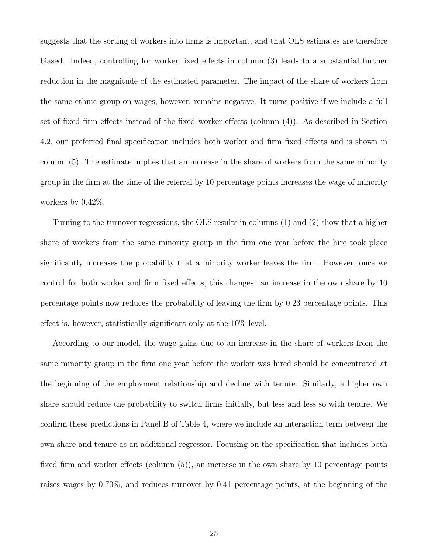suggests that the sorting of workers into firms is important, and that OLS estimates are therefore biased. Indeed, controlling for worker fixed effects in column (3) leads to a substantial further reduction in the magnitude of the estimated parameter. The impact of the share of workers from the same ethnic group on wages, however, remains negative. It turns positive if we include a full set of fixed firm effects instead of the fixed worker effects (column (4)). As described in Section 4.2, our preferred final specification includes both worker and firm fixed effects and is shown in column (5). The estimate implies that an increase in the share of workers from the same minority group in the firm at the time of the referral by 10 percentage points increases the wage of minority workers by 0.42%.

Turning to the turnover regressions, the OLS results in columns (1) and (2) show that a higher share of workers from the same minority group in the firm one year before the hire took place significantly increases the probability that a minority worker leaves the firm. However, once we control for both worker and firm fixed effects, this changes: an increase in the own share by 10 percentage points now reduces the probability of leaving the firm by 0.23 percentage points. This effect is, however, statistically significant only at the 10% level.

According to our model, the wage gains due to an increase in the share of workers from the same minority group in the firm one year before the worker was hired should be concentrated at the beginning of the employment relationship and decline with tenure. Similarly, a higher own share should reduce the probability to switch firms initially, but less and less so with tenure. We confirm these predictions in Panel B of Table 4, where we include an interaction term between the own share and tenure as an additional regressor. Focusing on the specification that includes both fixed firm and worker effects (column (5)), an increase in the own share by 10 percentage points raises wages by 0.70%, and reduces turnover by 0.41 percentage points, at the beginning of the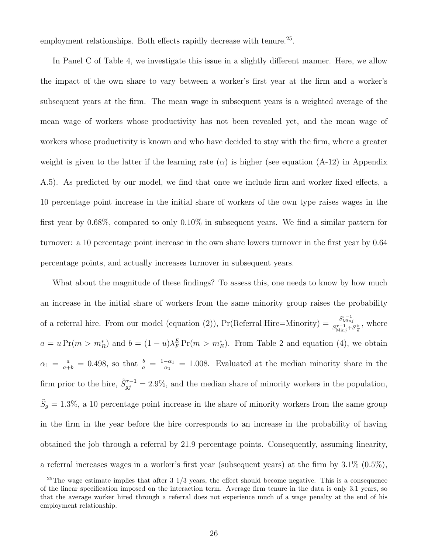employment relationships. Both effects rapidly decrease with tenure.<sup>25</sup>.

In Panel C of Table 4, we investigate this issue in a slightly different manner. Here, we allow the impact of the own share to vary between a worker's first year at the firm and a worker's subsequent years at the firm. The mean wage in subsequent years is a weighted average of the mean wage of workers whose productivity has not been revealed yet, and the mean wage of workers whose productivity is known and who have decided to stay with the firm, where a greater weight is given to the latter if the learning rate  $(\alpha)$  is higher (see equation (A-12) in Appendix A.5). As predicted by our model, we find that once we include firm and worker fixed effects, a 10 percentage point increase in the initial share of workers of the own type raises wages in the first year by 0.68%, compared to only 0.10% in subsequent years. We find a similar pattern for turnover: a 10 percentage point increase in the own share lowers turnover in the first year by 0.64 percentage points, and actually increases turnover in subsequent years.

What about the magnitude of these findings? To assess this, one needs to know by how much an increase in the initial share of workers from the same minority group raises the probability of a referral hire. From our model (equation (2)), Pr(Referral|Hire=Minority) =  $\frac{S_{\text{min}}^{\tau-1}}{S_{\text{min}}^{\tau-1}}$  $\frac{S_{\text{Min}j}}{S_{\text{Min}j}^{\tau-1} + S_{a}^{\frac{b}{a}}},$  where  $a = u \Pr(m > m_R^*)$  and  $b = (1 - u)\lambda_F^E \Pr(m > m_E^*)$ . From Table 2 and equation (4), we obtain  $\alpha_1 = \frac{a}{a+b} = 0.498$ , so that  $\frac{b}{a} = \frac{1-\alpha_1}{\alpha_1}$  $\frac{-\alpha_1}{\alpha_1} = 1.008$ . Evaluated at the median minority share in the firm prior to the hire,  $\tilde{S}_{gj}^{\tau-1} = 2.9\%$ , and the median share of minority workers in the population,  $\tilde{S}_g = 1.3\%$ , a 10 percentage point increase in the share of minority workers from the same group in the firm in the year before the hire corresponds to an increase in the probability of having obtained the job through a referral by 21.9 percentage points. Consequently, assuming linearity, a referral increases wages in a worker's first year (subsequent years) at the firm by  $3.1\%$  (0.5%),

<sup>&</sup>lt;sup>25</sup>The wage estimate implies that after  $3 \frac{1}{3}$  years, the effect should become negative. This is a consequence of the linear specification imposed on the interaction term. Average firm tenure in the data is only 3.1 years, so that the average worker hired through a referral does not experience much of a wage penalty at the end of his employment relationship.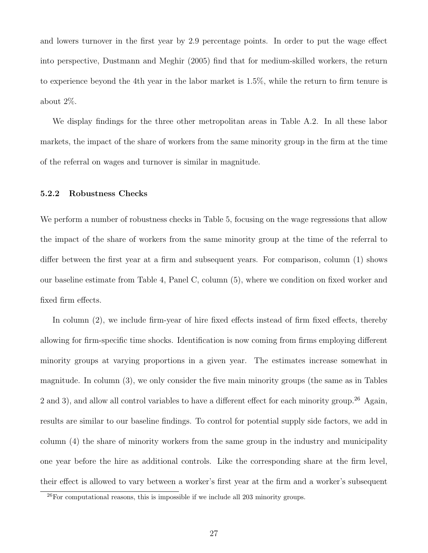and lowers turnover in the first year by 2.9 percentage points. In order to put the wage effect into perspective, Dustmann and Meghir (2005) find that for medium-skilled workers, the return to experience beyond the 4th year in the labor market is 1.5%, while the return to firm tenure is about 2%.

We display findings for the three other metropolitan areas in Table A.2. In all these labor markets, the impact of the share of workers from the same minority group in the firm at the time of the referral on wages and turnover is similar in magnitude.

#### 5.2.2 Robustness Checks

We perform a number of robustness checks in Table 5, focusing on the wage regressions that allow the impact of the share of workers from the same minority group at the time of the referral to differ between the first year at a firm and subsequent years. For comparison, column (1) shows our baseline estimate from Table 4, Panel C, column (5), where we condition on fixed worker and fixed firm effects.

In column (2), we include firm-year of hire fixed effects instead of firm fixed effects, thereby allowing for firm-specific time shocks. Identification is now coming from firms employing different minority groups at varying proportions in a given year. The estimates increase somewhat in magnitude. In column (3), we only consider the five main minority groups (the same as in Tables 2 and 3), and allow all control variables to have a different effect for each minority group.<sup>26</sup> Again, results are similar to our baseline findings. To control for potential supply side factors, we add in column (4) the share of minority workers from the same group in the industry and municipality one year before the hire as additional controls. Like the corresponding share at the firm level, their effect is allowed to vary between a worker's first year at the firm and a worker's subsequent

 $^{26}$ For computational reasons, this is impossible if we include all 203 minority groups.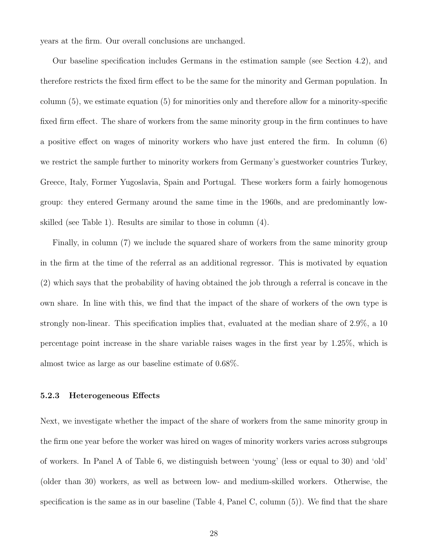years at the firm. Our overall conclusions are unchanged.

Our baseline specification includes Germans in the estimation sample (see Section 4.2), and therefore restricts the fixed firm effect to be the same for the minority and German population. In column (5), we estimate equation (5) for minorities only and therefore allow for a minority-specific fixed firm effect. The share of workers from the same minority group in the firm continues to have a positive effect on wages of minority workers who have just entered the firm. In column (6) we restrict the sample further to minority workers from Germany's guestworker countries Turkey, Greece, Italy, Former Yugoslavia, Spain and Portugal. These workers form a fairly homogenous group: they entered Germany around the same time in the 1960s, and are predominantly lowskilled (see Table 1). Results are similar to those in column (4).

Finally, in column (7) we include the squared share of workers from the same minority group in the firm at the time of the referral as an additional regressor. This is motivated by equation (2) which says that the probability of having obtained the job through a referral is concave in the own share. In line with this, we find that the impact of the share of workers of the own type is strongly non-linear. This specification implies that, evaluated at the median share of 2.9%, a 10 percentage point increase in the share variable raises wages in the first year by 1.25%, which is almost twice as large as our baseline estimate of 0.68%.

#### 5.2.3 Heterogeneous Effects

Next, we investigate whether the impact of the share of workers from the same minority group in the firm one year before the worker was hired on wages of minority workers varies across subgroups of workers. In Panel A of Table 6, we distinguish between 'young' (less or equal to 30) and 'old' (older than 30) workers, as well as between low- and medium-skilled workers. Otherwise, the specification is the same as in our baseline (Table 4, Panel C, column (5)). We find that the share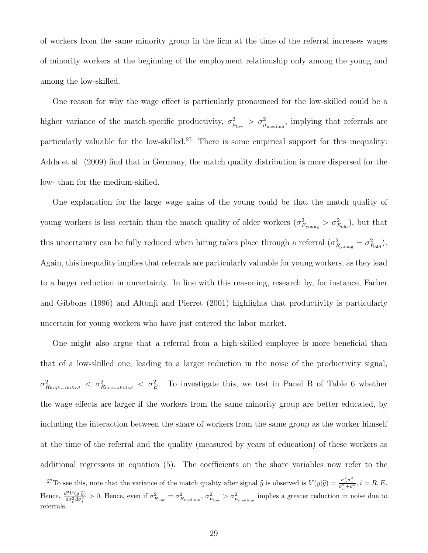of workers from the same minority group in the firm at the time of the referral increases wages of minority workers at the beginning of the employment relationship only among the young and among the low-skilled.

One reason for why the wage effect is particularly pronounced for the low-skilled could be a higher variance of the match-specific productivity,  $\sigma_{\mu_{\text{low}}}^2 > \sigma_{\mu_{\text{medium}}}^2$ , implying that referrals are particularly valuable for the low-skilled.<sup>27</sup> There is some empirical support for this inequality: Adda et al. (2009) find that in Germany, the match quality distribution is more dispersed for the low- than for the medium-skilled.

One explanation for the large wage gains of the young could be that the match quality of young workers is less certain than the match quality of older workers  $(\sigma_{E_{\text{young}}}^2 > \sigma_{E_{\text{old}}}^2)$ , but that this uncertainty can be fully reduced when hiring takes place through a referral  $(\sigma_{R_{\text{young}}}^2 = \sigma_{R_{\text{old}}}^2)$ . Again, this inequality implies that referrals are particularly valuable for young workers, as they lead to a larger reduction in uncertainty. In line with this reasoning, research by, for instance, Farber and Gibbons (1996) and Altonji and Pierret (2001) highlights that productivity is particularly uncertain for young workers who have just entered the labor market.

One might also argue that a referral from a high-skilled employee is more beneficial than that of a low-skilled one, leading to a larger reduction in the noise of the productivity signal,  $\sigma_{R_{high-skilled}}^2 < \sigma_{R_{low-skilled}}^2 < \sigma_E^2$ . To investigate this, we test in Panel B of Table 6 whether the wage effects are larger if the workers from the same minority group are better educated, by including the interaction between the share of workers from the same group as the worker himself at the time of the referral and the quality (measured by years of education) of these workers as additional regressors in equation (5). The coefficients on the share variables now refer to the

<sup>&</sup>lt;sup>27</sup>To see this, note that the variance of the match quality after signal  $\hat{y}$  is observed is  $V(y|\hat{y}) = \frac{\sigma_{\mu}^2 \sigma_{i}^2}{\sigma_{\mu}^2 + \sigma_{i}^2}$ ,  $i = R, E$ . Hence,  $\frac{d^2V(y|\hat{y})}{d\sigma^2_{\mu}d\sigma^2_{i}}>0$ . Hence, even if  $\sigma^2_{R_{\text{low}}} = \sigma^2_{R_{\text{medium}}}, \sigma^2_{\mu_{\text{low}}} > \sigma^2_{\mu_{\text{medium}}}$  implies a greater reduction in noise due to referrals.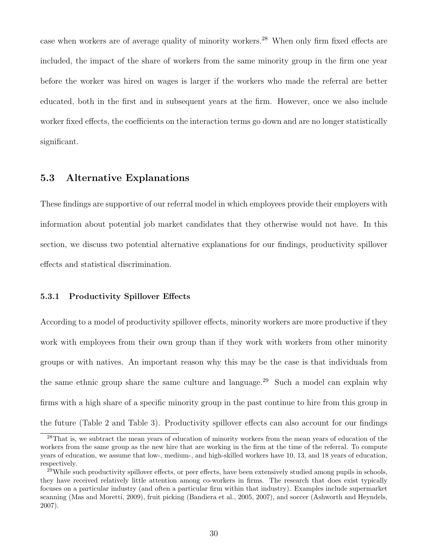case when workers are of average quality of minority workers.<sup>28</sup> When only firm fixed effects are included, the impact of the share of workers from the same minority group in the firm one year before the worker was hired on wages is larger if the workers who made the referral are better educated, both in the first and in subsequent years at the firm. However, once we also include worker fixed effects, the coefficients on the interaction terms go down and are no longer statistically significant.

## 5.3 Alternative Explanations

These findings are supportive of our referral model in which employees provide their employers with information about potential job market candidates that they otherwise would not have. In this section, we discuss two potential alternative explanations for our findings, productivity spillover effects and statistical discrimination.

#### 5.3.1 Productivity Spillover Effects

According to a model of productivity spillover effects, minority workers are more productive if they work with employees from their own group than if they work with workers from other minority groups or with natives. An important reason why this may be the case is that individuals from the same ethnic group share the same culture and language.<sup>29</sup> Such a model can explain why firms with a high share of a specific minority group in the past continue to hire from this group in the future (Table 2 and Table 3). Productivity spillover effects can also account for our findings

<sup>&</sup>lt;sup>28</sup>That is, we subtract the mean years of education of minority workers from the mean years of education of the workers from the same group as the new hire that are working in the firm at the time of the referral. To compute years of education, we assume that low-, medium-, and high-skilled workers have 10, 13, and 18 years of education, respectively.

 $^{29}$ While such productivity spillover effects, or peer effects, have been extensively studied among pupils in schools, they have received relatively little attention among co-workers in firms. The research that does exist typically focuses on a particular industry (and often a particular firm within that industry). Examples include supermarket scanning (Mas and Moretti, 2009), fruit picking (Bandiera et al., 2005, 2007), and soccer (Ashworth and Heyndels, 2007).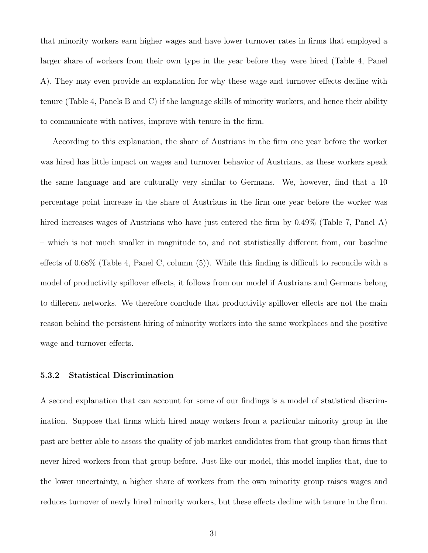that minority workers earn higher wages and have lower turnover rates in firms that employed a larger share of workers from their own type in the year before they were hired (Table 4, Panel A). They may even provide an explanation for why these wage and turnover effects decline with tenure (Table 4, Panels B and C) if the language skills of minority workers, and hence their ability to communicate with natives, improve with tenure in the firm.

According to this explanation, the share of Austrians in the firm one year before the worker was hired has little impact on wages and turnover behavior of Austrians, as these workers speak the same language and are culturally very similar to Germans. We, however, find that a 10 percentage point increase in the share of Austrians in the firm one year before the worker was hired increases wages of Austrians who have just entered the firm by 0.49% (Table 7, Panel A) – which is not much smaller in magnitude to, and not statistically different from, our baseline effects of 0.68% (Table 4, Panel C, column (5)). While this finding is difficult to reconcile with a model of productivity spillover effects, it follows from our model if Austrians and Germans belong to different networks. We therefore conclude that productivity spillover effects are not the main reason behind the persistent hiring of minority workers into the same workplaces and the positive wage and turnover effects.

#### 5.3.2 Statistical Discrimination

A second explanation that can account for some of our findings is a model of statistical discrimination. Suppose that firms which hired many workers from a particular minority group in the past are better able to assess the quality of job market candidates from that group than firms that never hired workers from that group before. Just like our model, this model implies that, due to the lower uncertainty, a higher share of workers from the own minority group raises wages and reduces turnover of newly hired minority workers, but these effects decline with tenure in the firm.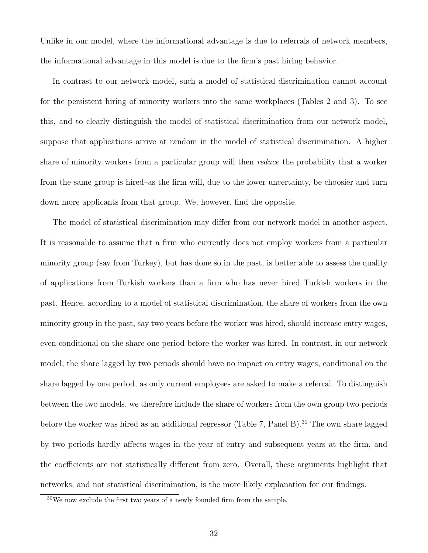Unlike in our model, where the informational advantage is due to referrals of network members, the informational advantage in this model is due to the firm's past hiring behavior.

In contrast to our network model, such a model of statistical discrimination cannot account for the persistent hiring of minority workers into the same workplaces (Tables 2 and 3). To see this, and to clearly distinguish the model of statistical discrimination from our network model, suppose that applications arrive at random in the model of statistical discrimination. A higher share of minority workers from a particular group will then *reduce* the probability that a worker from the same group is hired–as the firm will, due to the lower uncertainty, be choosier and turn down more applicants from that group. We, however, find the opposite.

The model of statistical discrimination may differ from our network model in another aspect. It is reasonable to assume that a firm who currently does not employ workers from a particular minority group (say from Turkey), but has done so in the past, is better able to assess the quality of applications from Turkish workers than a firm who has never hired Turkish workers in the past. Hence, according to a model of statistical discrimination, the share of workers from the own minority group in the past, say two years before the worker was hired, should increase entry wages, even conditional on the share one period before the worker was hired. In contrast, in our network model, the share lagged by two periods should have no impact on entry wages, conditional on the share lagged by one period, as only current employees are asked to make a referral. To distinguish between the two models, we therefore include the share of workers from the own group two periods before the worker was hired as an additional regressor (Table 7, Panel B).<sup>30</sup> The own share lagged by two periods hardly affects wages in the year of entry and subsequent years at the firm, and the coefficients are not statistically different from zero. Overall, these arguments highlight that networks, and not statistical discrimination, is the more likely explanation for our findings.

<sup>30</sup>We now exclude the first two years of a newly founded firm from the sample.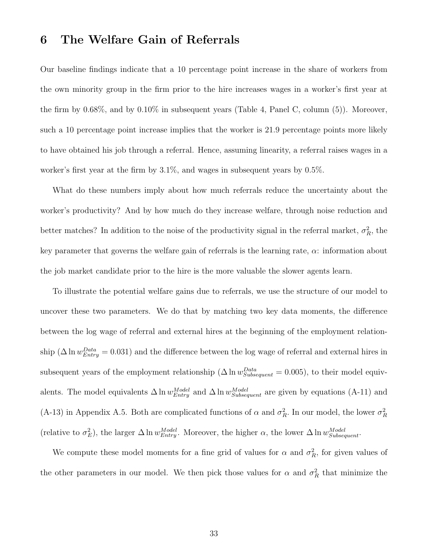## 6 The Welfare Gain of Referrals

Our baseline findings indicate that a 10 percentage point increase in the share of workers from the own minority group in the firm prior to the hire increases wages in a worker's first year at the firm by 0.68%, and by 0.10% in subsequent years (Table 4, Panel C, column (5)). Moreover, such a 10 percentage point increase implies that the worker is 21.9 percentage points more likely to have obtained his job through a referral. Hence, assuming linearity, a referral raises wages in a worker's first year at the firm by 3.1%, and wages in subsequent years by 0.5%.

What do these numbers imply about how much referrals reduce the uncertainty about the worker's productivity? And by how much do they increase welfare, through noise reduction and better matches? In addition to the noise of the productivity signal in the referral market,  $\sigma_R^2$ , the key parameter that governs the welfare gain of referrals is the learning rate,  $\alpha$ : information about the job market candidate prior to the hire is the more valuable the slower agents learn.

To illustrate the potential welfare gains due to referrals, we use the structure of our model to uncover these two parameters. We do that by matching two key data moments, the difference between the log wage of referral and external hires at the beginning of the employment relationship ( $\Delta \ln w_{Entry}^{Data} = 0.031$ ) and the difference between the log wage of referral and external hires in subsequent years of the employment relationship ( $\Delta \ln w_{Subsequent}^{Data} = 0.005$ ), to their model equivalents. The model equivalents  $\Delta \ln w_{Entry}^{Model}$  and  $\Delta \ln w_{Subsequent}^{Model}$  are given by equations (A-11) and (A-13) in Appendix A.5. Both are complicated functions of  $\alpha$  and  $\sigma_R^2$ . In our model, the lower  $\sigma_R^2$ (relative to  $\sigma_E^2$ ), the larger  $\Delta \ln w_{Entry}^{Model}$ . Moreover, the higher  $\alpha$ , the lower  $\Delta \ln w_{Subsequent}^{Model}$ .

We compute these model moments for a fine grid of values for  $\alpha$  and  $\sigma_R^2$ , for given values of the other parameters in our model. We then pick those values for  $\alpha$  and  $\sigma_R^2$  that minimize the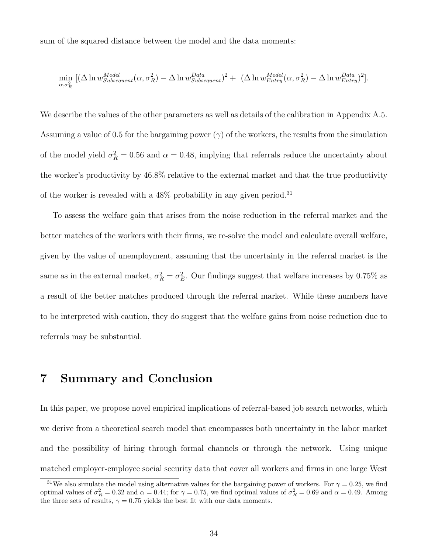sum of the squared distance between the model and the data moments:

$$
\min_{\alpha,\sigma_R^2} [(\Delta \ln w_{Subsequent}^{Model}(\alpha, \sigma_R^2) - \Delta \ln w_{Subsequent}^{Data})^2 + (\Delta \ln w_{Entry}^{Model}(\alpha, \sigma_R^2) - \Delta \ln w_{Entry}^{Data})^2].
$$

We describe the values of the other parameters as well as details of the calibration in Appendix A.5. Assuming a value of 0.5 for the bargaining power ( $\gamma$ ) of the workers, the results from the simulation of the model yield  $\sigma_R^2 = 0.56$  and  $\alpha = 0.48$ , implying that referrals reduce the uncertainty about the worker's productivity by 46.8% relative to the external market and that the true productivity of the worker is revealed with a  $48\%$  probability in any given period.<sup>31</sup>

To assess the welfare gain that arises from the noise reduction in the referral market and the better matches of the workers with their firms, we re-solve the model and calculate overall welfare, given by the value of unemployment, assuming that the uncertainty in the referral market is the same as in the external market,  $\sigma_R^2 = \sigma_E^2$ . Our findings suggest that welfare increases by 0.75% as a result of the better matches produced through the referral market. While these numbers have to be interpreted with caution, they do suggest that the welfare gains from noise reduction due to referrals may be substantial.

# 7 Summary and Conclusion

In this paper, we propose novel empirical implications of referral-based job search networks, which we derive from a theoretical search model that encompasses both uncertainty in the labor market and the possibility of hiring through formal channels or through the network. Using unique matched employer-employee social security data that cover all workers and firms in one large West

<sup>&</sup>lt;sup>31</sup>We also simulate the model using alternative values for the bargaining power of workers. For  $\gamma = 0.25$ , we find optimal values of  $\sigma_R^2 = 0.32$  and  $\alpha = 0.44$ ; for  $\gamma = 0.75$ , we find optimal values of  $\sigma_R^2 = 0.69$  and  $\alpha = 0.49$ . Among the three sets of results,  $\gamma = 0.75$  yields the best fit with our data moments.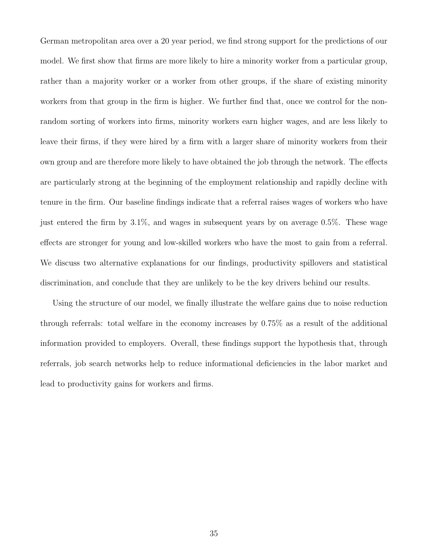German metropolitan area over a 20 year period, we find strong support for the predictions of our model. We first show that firms are more likely to hire a minority worker from a particular group, rather than a majority worker or a worker from other groups, if the share of existing minority workers from that group in the firm is higher. We further find that, once we control for the nonrandom sorting of workers into firms, minority workers earn higher wages, and are less likely to leave their firms, if they were hired by a firm with a larger share of minority workers from their own group and are therefore more likely to have obtained the job through the network. The effects are particularly strong at the beginning of the employment relationship and rapidly decline with tenure in the firm. Our baseline findings indicate that a referral raises wages of workers who have just entered the firm by 3.1%, and wages in subsequent years by on average 0.5%. These wage effects are stronger for young and low-skilled workers who have the most to gain from a referral. We discuss two alternative explanations for our findings, productivity spillovers and statistical discrimination, and conclude that they are unlikely to be the key drivers behind our results.

Using the structure of our model, we finally illustrate the welfare gains due to noise reduction through referrals: total welfare in the economy increases by 0.75% as a result of the additional information provided to employers. Overall, these findings support the hypothesis that, through referrals, job search networks help to reduce informational deficiencies in the labor market and lead to productivity gains for workers and firms.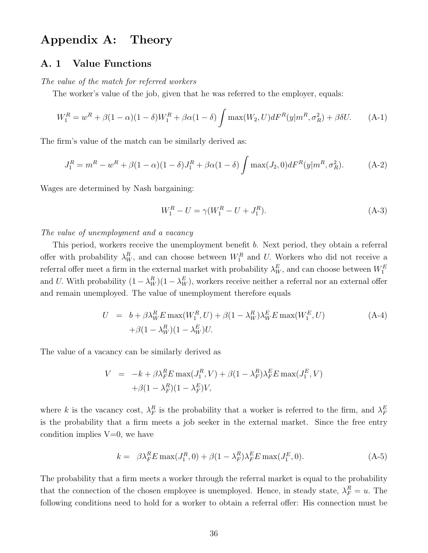# Appendix A: Theory

### A. 1 Value Functions

### The value of the match for referred workers

The worker's value of the job, given that he was referred to the employer, equals:

$$
W_1^R = w^R + \beta (1 - \alpha)(1 - \delta)W_1^R + \beta \alpha (1 - \delta) \int \max(W_2, U) dF^R(y|m^R, \sigma_R^2) + \beta \delta U.
$$
 (A-1)

The firm's value of the match can be similarly derived as:

$$
J_1^R = m^R - w^R + \beta (1 - \alpha)(1 - \delta)J_1^R + \beta \alpha (1 - \delta) \int \max(J_2, 0) dF^R(y|m^R, \sigma_R^2).
$$
 (A-2)

Wages are determined by Nash bargaining:

$$
W_1^R - U = \gamma (W_1^R - U + J_1^R). \tag{A-3}
$$

#### The value of unemployment and a vacancy

This period, workers receive the unemployment benefit b. Next period, they obtain a referral offer with probability  $\lambda_W^R$ , and can choose between  $W_1^R$  and U. Workers who did not receive a referral offer meet a firm in the external market with probability  $\lambda_W^E$ , and can choose between  $W_1^E$ and U. With probability  $(1 - \lambda_W^R)(1 - \lambda_W^E)$ , workers receive neither a referral nor an external offer and remain unemployed. The value of unemployment therefore equals

$$
U = b + \beta \lambda_W^R E \max(W_1^R, U) + \beta (1 - \lambda_W^R) \lambda_W^E E \max(W_1^E, U)
$$
  
+  $\beta (1 - \lambda_W^R) (1 - \lambda_W^E) U.$  (A-4)

The value of a vacancy can be similarly derived as

$$
V = -k + \beta \lambda_F^R E \max(J_1^R, V) + \beta (1 - \lambda_F^R) \lambda_F^E E \max(J_1^E, V)
$$
  
+  $\beta (1 - \lambda_F^R) (1 - \lambda_F^E) V$ ,

where k is the vacancy cost,  $\lambda_F^R$  $\frac{R}{F}$  is the probability that a worker is referred to the firm, and  $\lambda_F^E$ F is the probability that a firm meets a job seeker in the external market. Since the free entry condition implies  $V=0$ , we have

$$
k = \beta \lambda_F^R E \max(J_1^R, 0) + \beta (1 - \lambda_F^R) \lambda_F^E E \max(J_1^E, 0). \tag{A-5}
$$

The probability that a firm meets a worker through the referral market is equal to the probability that the connection of the chosen employee is unemployed. Hence, in steady state,  $\lambda_F^R = u$ . The following conditions need to hold for a worker to obtain a referral offer: His connection must be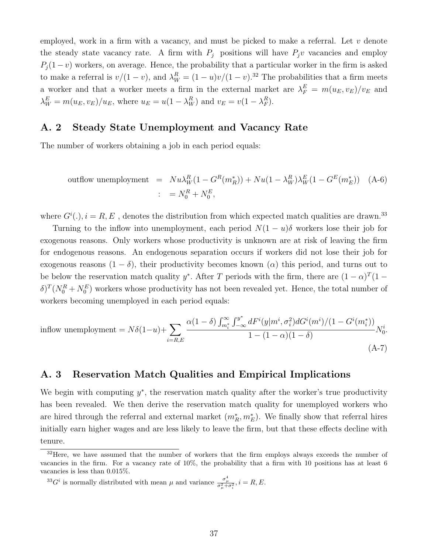employed, work in a firm with a vacancy, and must be picked to make a referral. Let  $v$  denote the steady state vacancy rate. A firm with  $P_j$  positions will have  $P_jv$  vacancies and employ  $P_i(1-v)$  workers, on average. Hence, the probability that a particular worker in the firm is asked to make a referral is  $v/(1-v)$ , and  $\lambda_W^R = (1-u)v/(1-v)$ .<sup>32</sup> The probabilities that a firm meets a worker and that a worker meets a firm in the external market are  $\lambda_F^E = m(u_E, v_E)/v_E$  and  $\lambda_W^E = m(u_E, v_E)/u_E$ , where  $u_E = u(1 - \lambda_W^R)$  and  $v_E = v(1 - \lambda_F^R)$  $_{F}^{R}).$ 

## A. 2 Steady State Unemployment and Vacancy Rate

The number of workers obtaining a job in each period equals:

outflow unemployedment = 
$$
Nu\lambda_W^R(1 - G^R(m_R^*)) + Nu(1 - \lambda_W^R)\lambda_W^E(1 - G^E(m_E^*))
$$
 (A-6)  
 
$$
= N_0^R + N_0^E,
$$

where  $G^i(.)$ ,  $i = R, E$ , denotes the distribution from which expected match qualities are drawn.<sup>33</sup>

Turning to the inflow into unemployment, each period  $N(1-u)\delta$  workers lose their job for exogenous reasons. Only workers whose productivity is unknown are at risk of leaving the firm for endogenous reasons. An endogenous separation occurs if workers did not lose their job for exogenous reasons  $(1 - \delta)$ , their productivity becomes known  $(\alpha)$  this period, and turns out to be below the reservation match quality y<sup>\*</sup>. After T periods with the firm, there are  $(1 - \alpha)^T (1 \delta)^T (N_0^R + N_0^E)$  workers whose productivity has not been revealed yet. Hence, the total number of workers becoming unemployed in each period equals:

$$
\text{inflow unemptyment} = N\delta(1-u) + \sum_{i=R,E} \frac{\alpha(1-\delta) \int_{m_i^*}^{\infty} \int_{-\infty}^{y^*} dF^i(y|m^i, \sigma_i^2) dG^i(m^i)/(1-G^i(m_i^*))}{1 - (1-\alpha)(1-\delta)} N_0^i.
$$
\n(A-7)

## A. 3 Reservation Match Qualities and Empirical Implications

We begin with computing  $y^*$ , the reservation match quality after the worker's true productivity has been revealed. We then derive the reservation match quality for unemployed workers who are hired through the referral and external market  $(m_R^*, m_E^*)$ . We finally show that referral hires initially earn higher wages and are less likely to leave the firm, but that these effects decline with tenure.

<sup>33</sup>G<sup>i</sup> is normally distributed with mean  $\mu$  and variance  $\frac{\sigma^4_{\mu}}{\sigma^2_{\mu}+\sigma^2_{i}}$ ,  $i = R, E$ .

<sup>&</sup>lt;sup>32</sup>Here, we have assumed that the number of workers that the firm employs always exceeds the number of vacancies in the firm. For a vacancy rate of 10%, the probability that a firm with 10 positions has at least 6 vacancies is less than 0.015%.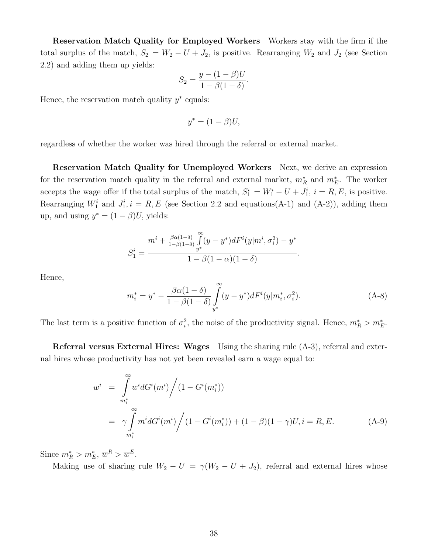Reservation Match Quality for Employed Workers Workers stay with the firm if the total surplus of the match,  $S_2 = W_2 - U + J_2$ , is positive. Rearranging  $W_2$  and  $J_2$  (see Section 2.2) and adding them up yields:

$$
S_2 = \frac{y - (1 - \beta)U}{1 - \beta(1 - \delta)}.
$$

Hence, the reservation match quality  $y^*$  equals:

$$
y^* = (1 - \beta)U,
$$

regardless of whether the worker was hired through the referral or external market.

Reservation Match Quality for Unemployed Workers Next, we derive an expression for the reservation match quality in the referral and external market,  $m_R^*$  and  $m_E^*$ . The worker accepts the wage offer if the total surplus of the match,  $S_1^i = W_1^i - U + J_1^i$ ,  $i = R, E$ , is positive. Rearranging  $W_1^i$  and  $J_1^i$ ,  $i = R, E$  (see Section 2.2 and equations(A-1) and (A-2)), adding them up, and using  $y^* = (1 - \beta)U$ , yields:

$$
S_1^i = \frac{m^i + \frac{\beta \alpha (1-\delta)}{1-\beta(1-\delta)} \int \limits_{y^*}^{\infty} (y - y^*) dF^i(y|m^i, \sigma_i^2) - y^*}{1 - \beta (1 - \alpha)(1 - \delta)}.
$$

Hence,

$$
m_i^* = y^* - \frac{\beta \alpha (1 - \delta)}{1 - \beta (1 - \delta)} \int_{y^*}^{\infty} (y - y^*) dF^i(y|m_i^*, \sigma_i^2).
$$
 (A-8)

The last term is a positive function of  $\sigma_i^2$ , the noise of the productivity signal. Hence,  $m_R^* > m_E^*$ .

Referral versus External Hires: Wages Using the sharing rule (A-3), referral and external hires whose productivity has not yet been revealed earn a wage equal to:

$$
\overline{w}^{i} = \int_{m_{i}^{*}}^{\infty} w^{i} dG^{i}(m^{i}) / (1 - G^{i}(m_{i}^{*}))
$$
  
=  $\gamma \int_{m_{i}^{*}}^{\infty} m^{i} dG^{i}(m^{i}) / (1 - G^{i}(m_{i}^{*})) + (1 - \beta)(1 - \gamma)U, i = R, E.$  (A-9)

Since  $m_R^* > m_E^*, \, \overline{w}^R > \overline{w}^E$ .

Making use of sharing rule  $W_2 - U = \gamma (W_2 - U + J_2)$ , referral and external hires whose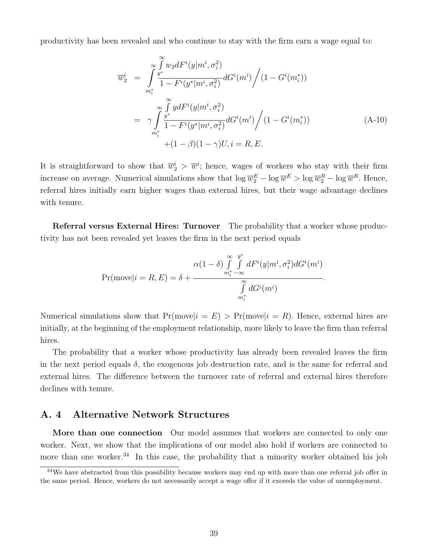productivity has been revealed and who continue to stay with the firm earn a wage equal to:

$$
\overline{w}_{2}^{i} = \int_{m_{i}^{*}}^{\infty} \frac{\int_{y^{*}}^{w_{2}} dF^{i}(y|m^{i}, \sigma_{i}^{2})}{1 - F^{i}(y^{*}|m^{i}, \sigma_{i}^{2})} dG^{i}(m^{i}) / (1 - G^{i}(m_{i}^{*}))
$$
\n
$$
= \gamma \int_{m_{i}^{*}}^{\infty} \frac{\int_{y^{*}}^{w_{2}} dF^{i}(y|m^{i}, \sigma_{i}^{2})}{1 - F^{i}(y^{*}|m^{i}, \sigma_{i}^{2})} dG^{i}(m^{i}) / (1 - G^{i}(m_{i}^{*}))
$$
\n
$$
+ (1 - \beta)(1 - \gamma)U, i = R, E.
$$
\n(A-10)

It is straightforward to show that  $\overline{w}_2^i > \overline{w}^i$ ; hence, wages of workers who stay with their firm increase on average. Numerical simulations show that  $\log \overline{w}_2^E - \log \overline{w}^E > \log \overline{w}_2^R - \log \overline{w}^R$ . Hence, referral hires initially earn higher wages than external hires, but their wage advantage declines with tenure.

Referral versus External Hires: Turnover The probability that a worker whose productivity has not been revealed yet leaves the firm in the next period equals

$$
Pr(move|i = R, E) = \delta + \frac{\alpha (1 - \delta) \int_{m_i^* - \infty}^{\infty} \int_{m_i^* - \infty}^{y^*} dF^i(y|m^i, \sigma_i^2) dG^i(m^i)}{\int_{m_i^*}^{\infty} dG^i(m^i)}.
$$

Numerical simulations show that  $Pr(move|i = E) > Pr(move|i = R)$ . Hence, external hires are initially, at the beginning of the employment relationship, more likely to leave the firm than referral hires.

The probability that a worker whose productivity has already been revealed leaves the firm in the next period equals  $\delta$ , the exogenous job destruction rate, and is the same for referral and external hires. The difference between the turnover rate of referral and external hires therefore declines with tenure.

### A. 4 Alternative Network Structures

More than one connection Our model assumes that workers are connected to only one worker. Next, we show that the implications of our model also hold if workers are connected to more than one worker.<sup>34</sup> In this case, the probability that a minority worker obtained his job

 $34$ We have abstracted from this possibility because workers may end up with more than one referral job offer in the same period. Hence, workers do not necessarily accept a wage offer if it exceeds the value of unemployment.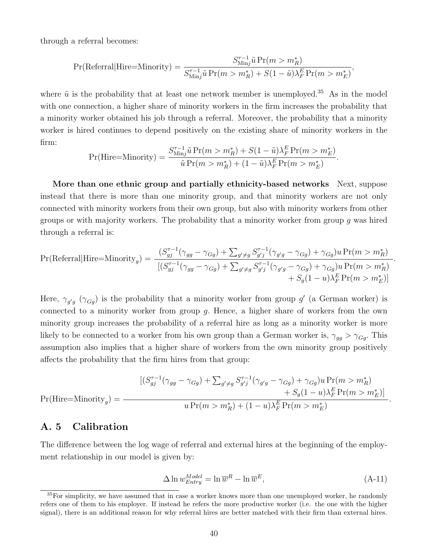through a referral becomes:

$$
\Pr(\text{Referral}|\text{Hire=Minority}) = \frac{S_{\text{Min}j}^{\tau-1} \tilde{u} \Pr(m > m_R^*)}{S_{\text{Min}j}^{\tau-1} \tilde{u} \Pr(m > m_R^*) + S(1 - \tilde{u})\lambda_F^E \Pr(m > m_E^*)},
$$

where  $\tilde{u}$  is the probability that at least one network member is unemployed.<sup>35</sup> As in the model with one connection, a higher share of minority workers in the firm increases the probability that a minority worker obtained his job through a referral. Moreover, the probability that a minority worker is hired continues to depend positively on the existing share of minority workers in the firm:

$$
\Pr(\text{Hire=Minority}) = \frac{S_{\text{Min}j}^{\tau-1} \tilde{u} \Pr(m > m_R^*) + S(1 - \tilde{u}) \lambda_F^E \Pr(m > m_E^*)}{\tilde{u} \Pr(m > m_R^*) + (1 - \tilde{u}) \lambda_F^E \Pr(m > m_E^*)}.
$$

More than one ethnic group and partially ethnicity-based networks Next, suppose instead that there is more than one minority group, and that minority workers are not only connected with minority workers from their own group, but also with minority workers from other groups or with majority workers. The probability that a minority worker from group g was hired through a referral is:

$$
Pr(Referal|Hire=Minority_g) = \frac{(S_{gj}^{\tau-1}(\gamma_{gg} - \gamma_{Gg}) + \sum_{g' \neq g} S_{g'j}^{\tau-1}(\gamma_{g'g} - \gamma_{Gg}) + \gamma_{Gg})u Pr(m > m_R^*)}{[(S_{gj}^{\tau-1}(\gamma_{gg} - \gamma_{Gg}) + \sum_{g' \neq g} S_{g'j}^{\tau-1}(\gamma_{g'g} - \gamma_{Gg}) + \gamma_{Gg})u Pr(m > m_R^*) + S_g(1-u)\lambda_F^E Pr(m > m_E^*)]}
$$

Here,  $\gamma_{g'g}$  ( $\gamma_{Gg}$ ) is the probability that a minority worker from group g' (a German worker) is connected to a minority worker from group g. Hence, a higher share of workers from the own minority group increases the probability of a referral hire as long as a minority worker is more likely to be connected to a worker from his own group than a German worker is,  $\gamma_{gg} > \gamma_{Gg}$ . This assumption also implies that a higher share of workers from the own minority group positively affects the probability that the firm hires from that group:

$$
Pr(Hire=Minority_g) = \frac{[(S_{gj}^{\tau-1}(\gamma_{gg} - \gamma_{Gg}) + \sum_{g' \neq g} S_{g'j}^{\tau-1}(\gamma_{g'g} - \gamma_{Gg}) + \gamma_{Gg})u Pr(m > m_R^*) + S_g(1-u)\lambda_F^E Pr(m > m_E^*)]}{u Pr(m > m_R^*) + (1-u)\lambda_F^E Pr(m > m_E^*)}
$$

## A. 5 Calibration

The difference between the log wage of referral and external hires at the beginning of the employment relationship in our model is given by:

$$
\Delta \ln w_{Entry}^{Model} = \ln \overline{w}^R - \ln \overline{w}^E,\tag{A-11}
$$

.

.

<sup>&</sup>lt;sup>35</sup>For simplicity, we have assumed that in case a worker knows more than one unemployed worker, he randomly refers one of them to his employer. If instead he refers the more productive worker (i.e. the one with the higher signal), there is an additional reason for why referral hires are better matched with their firm than external hires.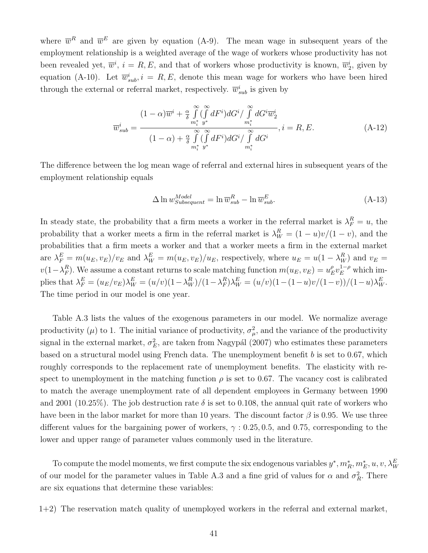where  $\overline{w}^R$  and  $\overline{w}^E$  are given by equation (A-9). The mean wage in subsequent years of the employment relationship is a weighted average of the wage of workers whose productivity has not been revealed yet,  $\overline{w}^i$ ,  $i = R, E$ , and that of workers whose productivity is known,  $\overline{w}_2^i$ , given by equation (A-10). Let  $\overline{w}_{sub}^i$ ,  $i = R, E$ , denote this mean wage for workers who have been hired through the external or referral market, respectively.  $\overline{w}_{sub}^{i}$  is given by

$$
\overline{w}_{sub}^{i} = \frac{(1-\alpha)\overline{w}^{i} + \frac{\alpha}{\delta} \int_{m_{i}^{*}}^{\infty} (\int_{s}^{\infty} dF^{i}) dG^{i} / \int_{m_{i}^{*}}^{\infty} dG^{i} \overline{w}_{2}^{i}}{(1-\alpha) + \frac{\alpha}{\delta} \int_{m_{i}^{*}}^{\infty} (\int_{s}^{\infty} dF^{i}) dG^{i} / \int_{m_{i}^{*}}^{\infty} dG^{i}}}, i = R, E.
$$
\n(A-12)

The difference between the log mean wage of referral and external hires in subsequent years of the employment relationship equals

$$
\Delta \ln w_{Subsequent}^{Model} = \ln \overline{w}_{sub}^{R} - \ln \overline{w}_{sub}^{E}.
$$
\n(A-13)

In steady state, the probability that a firm meets a worker in the referral market is  $\lambda_F^R = u$ , the probability that a worker meets a firm in the referral market is  $\lambda_W^R = (1 - u)v/(1 - v)$ , and the probabilities that a firm meets a worker and that a worker meets a firm in the external market are  $\lambda_F^E = m(u_E, v_E)/v_E$  and  $\lambda_W^E = m(u_E, v_E)/u_E$ , respectively, where  $u_E = u(1 - \lambda_W^R)$  and  $v_E =$  $v(1-\lambda_F^R)$  $F_F^R$ ). We assume a constant returns to scale matching function  $m(u_E, v_E) = u_E^{\rho}$  $_{E}^{\rho}v_{E}^{1-\rho}$  which implies that  $\lambda_F^E = (u_E/v_E)\lambda_W^E = (u/v)(1-\lambda_W^R)/(1-\lambda_F^R)$  $_{F}^{R}$ ) $\lambda_{W}^{E} = (u/v)(1-(1-u)v/(1-v))/(1-u)\lambda_{W}^{E}$ . The time period in our model is one year.

Table A.3 lists the values of the exogenous parameters in our model. We normalize average productivity ( $\mu$ ) to 1. The initial variance of productivity,  $\sigma_{\mu}^2$ , and the variance of the productivity signal in the external market,  $\sigma_E^2$ , are taken from Nagypál (2007) who estimates these parameters based on a structural model using French data. The unemployment benefit b is set to 0.67, which roughly corresponds to the replacement rate of unemployment benefits. The elasticity with respect to unemployment in the matching function  $\rho$  is set to 0.67. The vacancy cost is calibrated to match the average unemployment rate of all dependent employees in Germany between 1990 and 2001 (10.25%). The job destruction rate  $\delta$  is set to 0.108, the annual quit rate of workers who have been in the labor market for more than 10 years. The discount factor  $\beta$  is 0.95. We use three different values for the bargaining power of workers,  $\gamma$  : 0.25, 0.5, and 0.75, corresponding to the lower and upper range of parameter values commonly used in the literature.

To compute the model moments, we first compute the six endogenous variables  $y^*, m_R^*, m_E^*, u, v, \lambda_W^E$ of our model for the parameter values in Table A.3 and a fine grid of values for  $\alpha$  and  $\sigma_R^2$ . There are six equations that determine these variables:

1+2) The reservation match quality of unemployed workers in the referral and external market,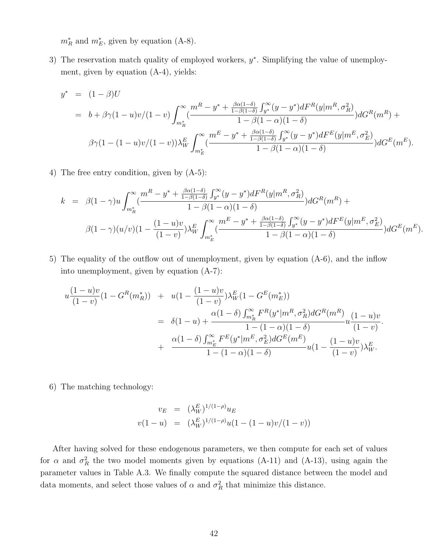$m_R^*$  and  $m_E^*$ , given by equation (A-8).

3) The reservation match quality of employed workers,  $y^*$ . Simplifying the value of unemployment, given by equation (A-4), yields:

$$
y^* = (1 - \beta)U
$$
  
=  $b + \beta \gamma (1 - u)v/(1 - v) \int_{m_R^*}^{\infty} \left( \frac{m^R - y^* + \frac{\beta \alpha (1 - \delta)}{1 - \beta (1 - \delta)} \int_{y^*}^{\infty} (y - y^*) dF^R(y|m^R, \sigma_R^2)}{1 - \beta (1 - \alpha)(1 - \delta)} \right) dG^R(m^R) +$   
 $\beta \gamma (1 - (1 - u)v/(1 - v)) \lambda_W^E \int_{m_E^*}^{\infty} \left( \frac{m^E - y^* + \frac{\beta \alpha (1 - \delta)}{1 - \beta (1 - \delta)} \int_{y^*}^{\infty} (y - y^*) dF^E(y|m^E, \sigma_E^2)}{1 - \beta (1 - \alpha)(1 - \delta)} \right) dG^E(m^E).$ 

4) The free entry condition, given by (A-5):

$$
k = \beta(1-\gamma)u \int_{m_R^*}^{\infty} \frac{m^R - y^* + \frac{\beta \alpha (1-\delta)}{1-\beta(1-\delta)} \int_{y^*}^{\infty} (y-y^*) dF^R(y|m^R, \sigma_R^2)}{1-\beta(1-\alpha)(1-\delta)} dG^R(m^R) +
$$
  

$$
\beta(1-\gamma)(u/v)(1-\frac{(1-u)v}{(1-v)}) \lambda_W^E \int_{m_E^*}^{\infty} \frac{m^E - y^* + \frac{\beta \alpha (1-\delta)}{1-\beta(1-\delta)} \int_{y^*}^{\infty} (y-y^*) dF^E(y|m^E, \sigma_E^2)}{1-\beta(1-\alpha)(1-\delta)} dG^E(m^E).
$$

5) The equality of the outflow out of unemployment, given by equation (A-6), and the inflow into unemployment, given by equation (A-7):

$$
u\frac{(1-u)v}{(1-v)}(1-G^R(m_R^*)) + u(1-\frac{(1-u)v}{(1-v)})\lambda_W^E(1-G^E(m_E^*))
$$
  
=  $\delta(1-u) + \frac{\alpha(1-\delta)\int_{m_R^*}^{\infty} F^R(y^*|m^R, \sigma_R^2)dG^R(m^R)}{1-(1-\alpha)(1-\delta)}u\frac{(1-u)v}{(1-v)}.$   
+  $\frac{\alpha(1-\delta)\int_{m_E^*}^{\infty} F^E(y^*|m^E, \sigma_E^2)dG^E(m^E)}{1-(1-\alpha)(1-\delta)}u(1-\frac{(1-u)v}{(1-v)})\lambda_W^E.$ 

6) The matching technology:

$$
v_E = (\lambda_W^E)^{1/(1-\rho)} u_E
$$
  

$$
v(1-u) = (\lambda_W^E)^{1/(1-\rho)} u(1-(1-u)v/(1-v))
$$

After having solved for these endogenous parameters, we then compute for each set of values for  $\alpha$  and  $\sigma_R^2$  the two model moments given by equations (A-11) and (A-13), using again the parameter values in Table A.3. We finally compute the squared distance between the model and data moments, and select those values of  $\alpha$  and  $\sigma_R^2$  that minimize this distance.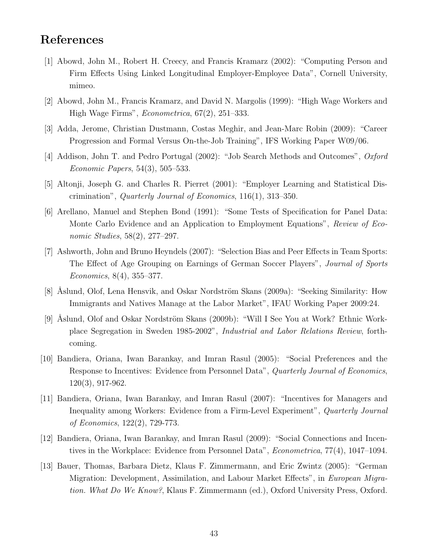## References

- [1] Abowd, John M., Robert H. Creecy, and Francis Kramarz (2002): "Computing Person and Firm Effects Using Linked Longitudinal Employer-Employee Data", Cornell University, mimeo.
- [2] Abowd, John M., Francis Kramarz, and David N. Margolis (1999): "High Wage Workers and High Wage Firms", Econometrica, 67(2), 251–333.
- [3] Adda, Jerome, Christian Dustmann, Costas Meghir, and Jean-Marc Robin (2009): "Career Progression and Formal Versus On-the-Job Training", IFS Working Paper W09/06.
- [4] Addison, John T. and Pedro Portugal (2002): "Job Search Methods and Outcomes", Oxford Economic Papers, 54(3), 505–533.
- [5] Altonji, Joseph G. and Charles R. Pierret (2001): "Employer Learning and Statistical Discrimination", Quarterly Journal of Economics, 116(1), 313–350.
- [6] Arellano, Manuel and Stephen Bond (1991): "Some Tests of Specification for Panel Data: Monte Carlo Evidence and an Application to Employment Equations", Review of Economic Studies, 58(2), 277–297.
- [7] Ashworth, John and Bruno Heyndels (2007): "Selection Bias and Peer Effects in Team Sports: The Effect of Age Grouping on Earnings of German Soccer Players", Journal of Sports Economics, 8(4), 355–377.
- [8] Áslund, Olof, Lena Hensvik, and Oskar Nordström Skans (2009a): "Seeking Similarity: How Immigrants and Natives Manage at the Labor Market", IFAU Working Paper 2009:24.
- [9] Åslund, Olof and Oskar Nordström Skans (2009b): "Will I See You at Work? Ethnic Workplace Segregation in Sweden 1985-2002", Industrial and Labor Relations Review, forthcoming.
- [10] Bandiera, Oriana, Iwan Barankay, and Imran Rasul (2005): "Social Preferences and the Response to Incentives: Evidence from Personnel Data", Quarterly Journal of Economics, 120(3), 917-962.
- [11] Bandiera, Oriana, Iwan Barankay, and Imran Rasul (2007): "Incentives for Managers and Inequality among Workers: Evidence from a Firm-Level Experiment", Quarterly Journal of Economics, 122(2), 729-773.
- [12] Bandiera, Oriana, Iwan Barankay, and Imran Rasul (2009): "Social Connections and Incentives in the Workplace: Evidence from Personnel Data", Econometrica, 77(4), 1047–1094.
- [13] Bauer, Thomas, Barbara Dietz, Klaus F. Zimmermann, and Eric Zwintz (2005): "German Migration: Development, Assimilation, and Labour Market Effects", in European Migration. What Do We Know?, Klaus F. Zimmermann (ed.), Oxford University Press, Oxford.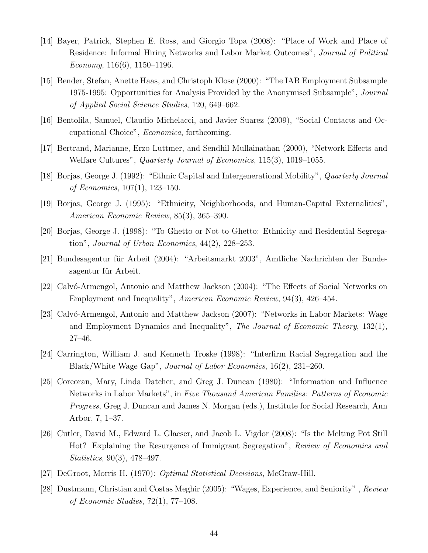- [14] Bayer, Patrick, Stephen E. Ross, and Giorgio Topa (2008): "Place of Work and Place of Residence: Informal Hiring Networks and Labor Market Outcomes", Journal of Political Economy, 116(6), 1150–1196.
- [15] Bender, Stefan, Anette Haas, and Christoph Klose (2000): "The IAB Employment Subsample 1975-1995: Opportunities for Analysis Provided by the Anonymised Subsample", Journal of Applied Social Science Studies, 120, 649–662.
- [16] Bentolila, Samuel, Claudio Michelacci, and Javier Suarez (2009), "Social Contacts and Occupational Choice", Economica, forthcoming.
- [17] Bertrand, Marianne, Erzo Luttmer, and Sendhil Mullainathan (2000), "Network Effects and Welfare Cultures", Quarterly Journal of Economics, 115(3), 1019–1055.
- [18] Borjas, George J. (1992): "Ethnic Capital and Intergenerational Mobility", Quarterly Journal of Economics, 107(1), 123–150.
- [19] Borjas, George J. (1995): "Ethnicity, Neighborhoods, and Human-Capital Externalities", American Economic Review, 85(3), 365–390.
- [20] Borjas, George J. (1998): "To Ghetto or Not to Ghetto: Ethnicity and Residential Segregation", Journal of Urban Economics, 44(2), 228–253.
- [21] Bundesagentur für Arbeit (2004): "Arbeitsmarkt 2003", Amtliche Nachrichten der Bundesagentur für Arbeit.
- [22] Calvó-Armengol, Antonio and Matthew Jackson (2004): "The Effects of Social Networks on Employment and Inequality", American Economic Review, 94(3), 426–454.
- [23] Calvó-Armengol, Antonio and Matthew Jackson (2007): "Networks in Labor Markets: Wage and Employment Dynamics and Inequality", The Journal of Economic Theory,  $132(1)$ , 27–46.
- [24] Carrington, William J. and Kenneth Troske (1998): "Interfirm Racial Segregation and the Black/White Wage Gap", Journal of Labor Economics, 16(2), 231–260.
- [25] Corcoran, Mary, Linda Datcher, and Greg J. Duncan (1980): "Information and Influence Networks in Labor Markets", in Five Thousand American Families: Patterns of Economic Progress, Greg J. Duncan and James N. Morgan (eds.), Institute for Social Research, Ann Arbor, 7, 1–37.
- [26] Cutler, David M., Edward L. Glaeser, and Jacob L. Vigdor (2008): "Is the Melting Pot Still Hot? Explaining the Resurgence of Immigrant Segregation", Review of Economics and Statistics, 90(3), 478–497.
- [27] DeGroot, Morris H. (1970): Optimal Statistical Decisions, McGraw-Hill.
- [28] Dustmann, Christian and Costas Meghir (2005): "Wages, Experience, and Seniority" , Review of Economic Studies, 72(1), 77–108.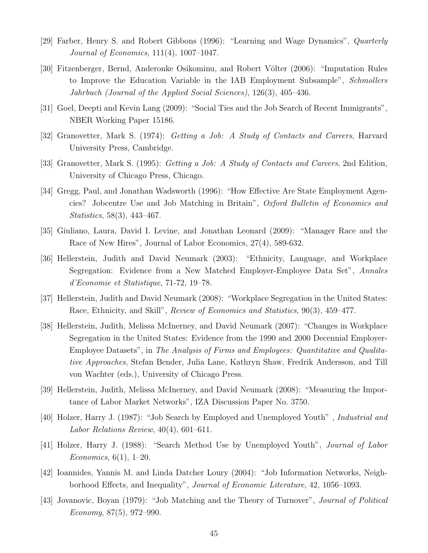- [29] Farber, Henry S. and Robert Gibbons (1996): "Learning and Wage Dynamics", Quarterly Journal of Economics, 111(4), 1007–1047.
- [30] Fitzenberger, Bernd, Anderonke Osikominu, and Robert Völter (2006): "Imputation Rules to Improve the Education Variable in the IAB Employment Subsample", Schmollers Jahrbuch (Journal of the Applied Social Sciences), 126(3), 405–436.
- [31] Goel, Deepti and Kevin Lang (2009): "Social Ties and the Job Search of Recent Immigrants", NBER Working Paper 15186.
- [32] Granovetter, Mark S. (1974): Getting a Job: A Study of Contacts and Careers, Harvard University Press, Cambridge.
- [33] Granovetter, Mark S. (1995): Getting a Job: A Study of Contacts and Careers, 2nd Edition, University of Chicago Press, Chicago.
- [34] Gregg, Paul, and Jonathan Wadsworth (1996): "How Effective Are State Employment Agencies? Jobcentre Use and Job Matching in Britain", Oxford Bulletin of Economics and Statistics, 58(3), 443–467.
- [35] Giuliano, Laura, David I. Levine, and Jonathan Leonard (2009): "Manager Race and the Race of New Hires", Journal of Labor Economics, 27(4), 589-632.
- [36] Hellerstein, Judith and David Neumark (2003): "Ethnicity, Language, and Workplace Segregation: Evidence from a New Matched Employer-Employee Data Set", Annales d'Economie et Statistique, 71-72, 19–78.
- [37] Hellerstein, Judith and David Neumark (2008): "Workplace Segregation in the United States: Race, Ethnicity, and Skill", Review of Economics and Statistics, 90(3), 459–477.
- [38] Hellerstein, Judith, Melissa McInerney, and David Neumark (2007): "Changes in Workplace Segregation in the United States: Evidence from the 1990 and 2000 Decennial Employer-Employee Datasets", in The Analysis of Firms and Employees: Quantitative and Qualitative Approaches, Stefan Bender, Julia Lane, Kathryn Shaw, Fredrik Andersson, and Till von Wachter (eds.), University of Chicago Press.
- [39] Hellerstein, Judith, Melissa McInerney, and David Neumark (2008): "Measuring the Importance of Labor Market Networks", IZA Discussion Paper No. 3750.
- [40] Holzer, Harry J. (1987): "Job Search by Employed and Unemployed Youth" , Industrial and Labor Relations Review, 40(4), 601–611.
- [41] Holzer, Harry J. (1988): "Search Method Use by Unemployed Youth", *Journal of Labor* Economics,  $6(1)$ , 1–20.
- [42] Ioannides, Yannis M. and Linda Datcher Loury (2004): "Job Information Networks, Neighborhood Effects, and Inequality", Journal of Economic Literature, 42, 1056–1093.
- [43] Jovanovic, Boyan (1979): "Job Matching and the Theory of Turnover", Journal of Political Economy,  $87(5)$ ,  $972-990$ .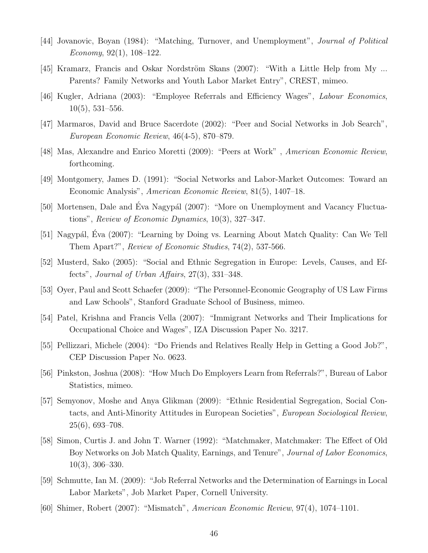- [44] Jovanovic, Boyan (1984): "Matching, Turnover, and Unemployment", Journal of Political Economy,  $92(1)$ ,  $108-122$ .
- [45] Kramarz, Francis and Oskar Nordström Skans (2007): "With a Little Help from My ... Parents? Family Networks and Youth Labor Market Entry", CREST, mimeo.
- [46] Kugler, Adriana (2003): "Employee Referrals and Efficiency Wages", Labour Economics, 10(5), 531–556.
- [47] Marmaros, David and Bruce Sacerdote (2002): "Peer and Social Networks in Job Search", European Economic Review, 46(4-5), 870–879.
- [48] Mas, Alexandre and Enrico Moretti (2009): "Peers at Work" , American Economic Review, forthcoming.
- [49] Montgomery, James D. (1991): "Social Networks and Labor-Market Outcomes: Toward an Economic Analysis", American Economic Review, 81(5), 1407–18.
- [50] Mortensen, Dale and Éva Nagypál (2007): "More on Unemployment and Vacancy Fluctuations", Review of Economic Dynamics, 10(3), 327–347.
- [51] Nagypál, Éva (2007): "Learning by Doing vs. Learning About Match Quality: Can We Tell Them Apart?", Review of Economic Studies, 74(2), 537-566.
- [52] Musterd, Sako (2005): "Social and Ethnic Segregation in Europe: Levels, Causes, and Effects", Journal of Urban Affairs,  $27(3)$ ,  $331-348$ .
- [53] Oyer, Paul and Scott Schaefer (2009): "The Personnel-Economic Geography of US Law Firms and Law Schools", Stanford Graduate School of Business, mimeo.
- [54] Patel, Krishna and Francis Vella (2007): "Immigrant Networks and Their Implications for Occupational Choice and Wages", IZA Discussion Paper No. 3217.
- [55] Pellizzari, Michele (2004): "Do Friends and Relatives Really Help in Getting a Good Job?", CEP Discussion Paper No. 0623.
- [56] Pinkston, Joshua (2008): "How Much Do Employers Learn from Referrals?", Bureau of Labor Statistics, mimeo.
- [57] Semyonov, Moshe and Anya Glikman (2009): "Ethnic Residential Segregation, Social Contacts, and Anti-Minority Attitudes in European Societies", European Sociological Review, 25(6), 693–708.
- [58] Simon, Curtis J. and John T. Warner (1992): "Matchmaker, Matchmaker: The Effect of Old Boy Networks on Job Match Quality, Earnings, and Tenure", Journal of Labor Economics, 10(3), 306–330.
- [59] Schmutte, Ian M. (2009): "Job Referral Networks and the Determination of Earnings in Local Labor Markets", Job Market Paper, Cornell University.
- [60] Shimer, Robert (2007): "Mismatch", American Economic Review, 97(4), 1074–1101.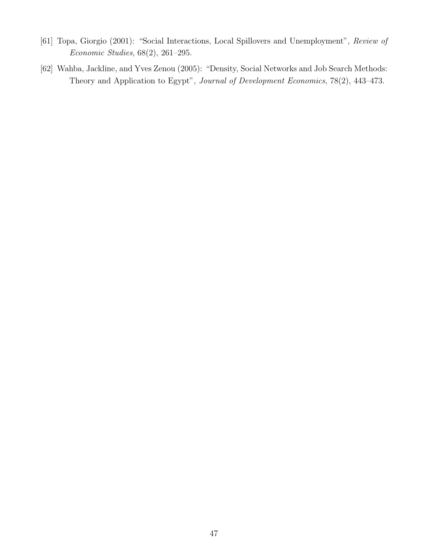- [61] Topa, Giorgio (2001): "Social Interactions, Local Spillovers and Unemployment", Review of Economic Studies, 68(2), 261–295.
- [62] Wahba, Jackline, and Yves Zenou (2005): "Density, Social Networks and Job Search Methods: Theory and Application to Egypt", Journal of Development Economics, 78(2), 443–473.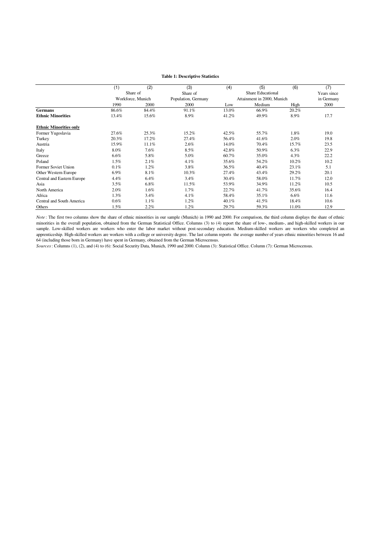#### **Table 1: Descriptive Statistics**

|                               | (1)     | (2)               | (3)                 | (4)   | (5)                        | (6)     | (7)         |
|-------------------------------|---------|-------------------|---------------------|-------|----------------------------|---------|-------------|
|                               |         | Share of          | Share of            |       | <b>Share Educational</b>   |         | Years since |
|                               |         | Workforce, Munich | Population, Germany |       | Attainment in 2000, Munich |         | in Germany  |
|                               | 1990    | 2000              | 2000                | Low   | Medium                     | High    | 2000        |
| <b>Germans</b>                | 86.6%   | 84.4%             | 91.1%               | 13.0% | 66.9%                      | 20.2%   |             |
| <b>Ethnic Minorities</b>      | 13.4%   | 15.6%             | 8.9%                | 41.2% | 49.9%                      | 8.9%    | 17.7        |
| <b>Ethnic Minorities only</b> |         |                   |                     |       |                            |         |             |
| Former Yugoslavia             | 27.6%   | 25.3%             | 15.2%               | 42.5% | 55.7%                      | 1.8%    | 19.0        |
| Turkey                        | 20.3%   | 17.2%             | 27.4%               | 56.4% | 41.6%                      | 2.0%    | 19.8        |
| Austria                       | 15.9%   | 11.1%             | 2.6%                | 14.0% | 70.4%                      | 15.7%   | 23.5        |
| Italy                         | 8.0%    | 7.6%              | 8.5%                | 42.8% | 50.9%                      | $6.3\%$ | 22.9        |
| Greece                        | 6.6%    | 5.8%              | 5.0%                | 60.7% | 35.0%                      | $4.3\%$ | 22.2        |
| Poland                        | $1.5\%$ | 2.1%              | 4.1%                | 35.6% | 54.2%                      | 10.2%   | 10.2        |
| Former Soviet Union           | 0.1%    | 1.2%              | 3.8%                | 36.5% | 40.4%                      | 23.1%   | 5.1         |
| Other Western Europe          | 6.9%    | 8.1%              | 10.3%               | 27.4% | 43.4%                      | 29.2%   | 20.1        |
| Central and Eastern Europe    | 4.4%    | 6.4%              | 3.4%                | 30.4% | 58.0%                      | 11.7%   | 12.0        |
| Asia                          | 3.5%    | $6.8\%$           | 11.5%               | 53.9% | 34.9%                      | 11.2%   | 10.5        |
| North America                 | 2.0%    | 1.6%              | 1.7%                | 22.7% | 41.7%                      | 35.6%   | 16.4        |
| Africa                        | 1.3%    | $3.4\%$           | 4.1%                | 58.4% | 35.1%                      | $6.6\%$ | 11.6        |
| Central and South America     | 0.6%    | 1.1%              | $1.2\%$             | 40.1% | 41.5%                      | 18.4%   | 10.6        |
| Others                        | $1.5\%$ | 2.2%              | $1.2\%$             | 29.7% | 59.3%                      | 11.0%   | 12.9        |

*Note* : The first two columns show the share of ethnic minorities in our sample (Munich) in 1990 and 2000. For comparison, the third column displays the share of ethnic minorities in the overall population, obtained from the German Statistical Office. Columns (3) to (4) report the share of low-, medium-, and high-skilled workers in our sample. Low-skilled workers are workers who enter the labor market without post-secondary education. Medium-skilled workers are workers who completed an apprenticeship. High-skilled workers are workers with a college or university degree. The last column reports the average number of years ethnic minorities between 16 and 64 (including those born in Germany) have spent in Germany, obtained from the German Microcensus.

*Sources*: Columns (1), (2), and (4) to (6): Social Security Data, Munich, 1990 and 2000. Column (3): Statistical Office. Column (7): German Microcensus.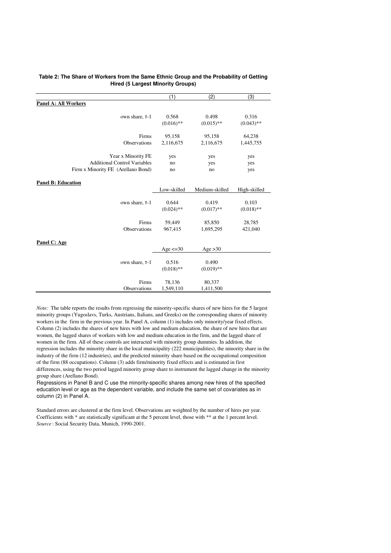|                                     | (1)                   | (2)                   | (3)          |
|-------------------------------------|-----------------------|-----------------------|--------------|
| <b>Panel A: All Workers</b>         |                       |                       |              |
| own share, T-1                      | 0.568                 | 0.498                 | 0.316        |
|                                     | $(0.016)$ **          | $(0.015)$ **          | $(0.043)$ ** |
| Firms                               | 95,158                | 95,158                | 64,238       |
| Observations                        | 2,116,675             | 2,116,675             | 1,445,755    |
| Year x Minority FE                  | yes                   | yes                   | yes          |
| <b>Additional Control Variables</b> | no                    | yes                   | yes          |
| Firm x Minority FE (Arellano Bond)  | no                    | no                    | yes          |
| <b>Panel B: Education</b>           | Low-skilled           | Medium-skilled        | High-skilled |
| own share, T-1                      | 0.644                 | 0.419                 | 0.103        |
|                                     | $(0.024)$ **          | $(0.017)$ **          | $(0.018)$ ** |
| Firms                               | 59,449                | 85,850                | 28,785       |
| Observations                        | 967,415               | 1,695,295             | 421,040      |
| Panel C: Age                        | Age $\leq$ 30         | Age $>30$             |              |
| own share, T-1                      | 0.516<br>$(0.018)$ ** | 0.490<br>$(0.019)$ ** |              |
| Firms                               | 78,136                | 80,337                |              |
| Observations                        | 1,549,110             | 1,411,500             |              |

#### **Table 2: The Share of Workers from the Same Ethnic Group and the Probability of Getting Hired (5 Largest Minority Groups)**

*Note:* The table reports the results from regressing the minority-specific shares of new hires for the 5 largest minority groups (Yugoslavs, Turks, Austrians, Italians, and Greeks) on the corresponding shares of minority workers in the firm in the previous year. In Panel A, column (1) includes only minority/year fixed effects. Column (2) includes the shares of new hires with low and medium education, the share of new hires that are women, the lagged shares of workers with low and medium education in the firm, and the lagged share of women in the firm. All of these controls are interacted with minority group dummies. In addition, the regression includes the minority share in the local municipality (222 municipalities), the minority share in the industry of the firm (12 industries), and the predicted minority share based on the occupational composition of the firm (88 occupations). Column (3) adds firm/minority fixed effects and is estimated in first differences, using the two period lagged minority group share to instrument the lagged change in the minority group share (Arellano Bond).

Regressions in Panel B and C use the minority-specific shares among new hires of the specified education level or age as the dependent variable, and include the same set of covariates as in column (2) in Panel A.

*Source* : Social Security Data, Munich, 1990-2001. Standard errors are clustered at the firm level. Observations are weighted by the number of hires per year. Coefficients with \* are statistically significant at the 5 percent level, those with \*\* at the 1 percent level.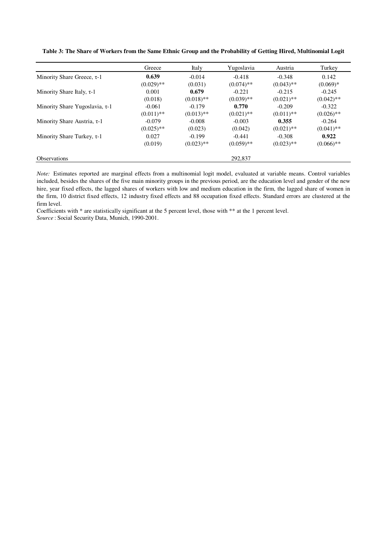**Table 3: The Share of Workers from the Same Ethnic Group and the Probability of Getting Hired, Multinomial Logit** 

|                                      | Greece       | Italy        | Yugoslavia   | Austria      | Turkey       |
|--------------------------------------|--------------|--------------|--------------|--------------|--------------|
| Minority Share Greece, $\tau$ -1     | 0.639        | $-0.014$     | $-0.418$     | $-0.348$     | 0.142        |
|                                      | $(0.029)$ ** | (0.031)      | $(0.074)$ ** | $(0.043)$ ** | $(0.069)*$   |
| Minority Share Italy, $\tau$ -1      | 0.001        | 0.679        | $-0.221$     | $-0.215$     | $-0.245$     |
|                                      | (0.018)      | $(0.018)$ ** | $(0.039)$ ** | $(0.021)$ ** | $(0.042)$ ** |
| Minority Share Yugoslavia, $\tau$ -1 | $-0.061$     | $-0.179$     | 0.770        | $-0.209$     | $-0.322$     |
|                                      | $(0.011)$ ** | $(0.013)$ ** | $(0.021)$ ** | $(0.011)$ ** | $(0.026)$ ** |
| Minority Share Austria, $\tau$ -1    | $-0.079$     | $-0.008$     | $-0.003$     | 0.355        | $-0.264$     |
|                                      | $(0.025)$ ** | (0.023)      | (0.042)      | $(0.021)$ ** | $(0.041)$ ** |
| Minority Share Turkey, $\tau$ -1     | 0.027        | $-0.199$     | $-0.441$     | $-0.308$     | 0.922        |
|                                      | (0.019)      | $(0.023)$ ** | $(0.059)$ ** | $(0.023)$ ** | $(0.066)$ ** |
| <b>Observations</b>                  |              |              | 292,837      |              |              |

*Note:* Estimates reported are marginal effects from a multinomial logit model, evaluated at variable means. Control variables included, besides the shares of the five main minority groups in the previous period, are the education level and gender of the new hire, year fixed effects, the lagged shares of workers with low and medium education in the firm, the lagged share of women in the firm, 10 district fixed effects, 12 industry fixed effects and 88 occupation fixed effects. Standard errors are clustered at the firm level.

*Source* : Social Security Data, Munich, 1990-2001. Coefficients with \* are statistically significant at the 5 percent level, those with \*\* at the 1 percent level.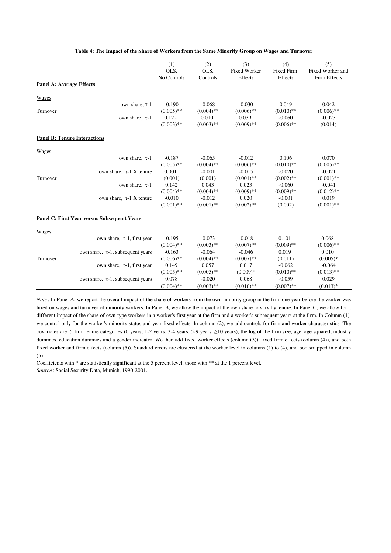|                                     |                                                    | (1)          | (2)          | (3)                 | (4)               | (5)              |
|-------------------------------------|----------------------------------------------------|--------------|--------------|---------------------|-------------------|------------------|
|                                     |                                                    | OLS,         | OLS.         | <b>Fixed Worker</b> | <b>Fixed Firm</b> | Fixed Worker and |
|                                     |                                                    | No Controls  | Controls     | Effects             | Effects           | Firm Effects     |
| <b>Panel A: Average Effects</b>     |                                                    |              |              |                     |                   |                  |
|                                     |                                                    |              |              |                     |                   |                  |
| <b>Wages</b>                        |                                                    |              |              |                     |                   |                  |
|                                     | own share, T-1                                     | $-0.190$     | $-0.068$     | $-0.030$            | 0.049             | 0.042            |
| Turnover                            |                                                    | $(0.005)$ ** | $(0.004)$ ** | $(0.006)$ **        | $(0.010)$ **      | $(0.006)$ **     |
|                                     | own share, $\tau$ -1                               | 0.122        | 0.010        | 0.039               | $-0.060$          | $-0.023$         |
|                                     |                                                    | $(0.003)$ ** | $(0.003)$ ** | $(0.009)$ **        | $(0.006)$ **      | (0.014)          |
| <b>Panel B: Tenure Interactions</b> |                                                    |              |              |                     |                   |                  |
|                                     |                                                    |              |              |                     |                   |                  |
| Wages                               |                                                    |              |              |                     |                   |                  |
|                                     | own share, $\tau$ -1                               | $-0.187$     | $-0.065$     | $-0.012$            | 0.106             | 0.070            |
|                                     |                                                    | $(0.005)$ ** | $(0.004)$ ** | $(0.006)$ **        | $(0.010)$ **      | $(0.005)$ **     |
|                                     | own share, $\tau$ -1 X tenure                      | 0.001        | $-0.001$     | $-0.015$            | $-0.020$          | $-0.021$         |
| Turnover                            |                                                    | (0.001)      | (0.001)      | $(0.001)$ **        | $(0.002)$ **      | $(0.001)$ **     |
|                                     | own share, $\tau$ -1                               | 0.142        | 0.043        | 0.023               | $-0.060$          | $-0.041$         |
|                                     |                                                    | $(0.004)$ ** | $(0.004)$ ** | $(0.009)$ **        | $(0.009)$ **      | $(0.012)$ **     |
|                                     | own share, $\tau$ -1 X tenure                      | $-0.010$     | $-0.012$     | 0.020               | $-0.001$          | 0.019            |
|                                     |                                                    | $(0.001)$ ** | $(0.001)$ ** | $(0.002)$ **        | (0.002)           | $(0.001)$ **     |
|                                     | <b>Panel C: First Year versus Subsequent Years</b> |              |              |                     |                   |                  |
|                                     |                                                    |              |              |                     |                   |                  |
| Wages                               |                                                    |              |              |                     |                   |                  |
|                                     | own share, $\tau$ -1, first year                   | $-0.195$     | $-0.073$     | $-0.018$            | 0.101             | 0.068            |
|                                     |                                                    | $(0.004)$ ** | $(0.003)$ ** | $(0.007)$ **        | $(0.009)$ **      | $(0.006)$ **     |
|                                     | own share, $\tau$ -1, subsequent years             | $-0.163$     | $-0.064$     | $-0.046$            | 0.019             | 0.010            |
| Turnover                            |                                                    | $(0.006)$ ** | $(0.004)$ ** | $(0.007)$ **        | (0.011)           | $(0.005)*$       |
|                                     | own share, $\tau$ -1, first year                   | 0.149        | 0.057        | 0.017               | $-0.062$          | $-0.064$         |
|                                     |                                                    | $(0.005)$ ** | $(0.005)$ ** | $(0.009)*$          | $(0.010)$ **      | $(0.013)$ **     |
|                                     | own share, $\tau$ -1, subsequent years             | 0.078        | $-0.020$     | 0.068               | $-0.059$          | 0.029            |
|                                     |                                                    | $(0.004)$ ** | $(0.003)$ ** | $(0.010)$ **        | $(0.007)$ **      | $(0.013)*$       |

#### **Table 4: The Impact of the Share of Workers from the Same Minority Group on Wages and Turnover**

*Note*: In Panel A, we report the overall impact of the share of workers from the own minority group in the firm one year before the worker was hired on wages and turnover of minority workers. In Panel B, we allow the impact of the own share to vary by tenure. In Panel C, we allow for a different impact of the share of own-type workers in a worker's first year at the firm and a worker's subsequent years at the firm. In Column (1), we control only for the worker's minority status and year fixed effects. In column (2), we add controls for firm and worker characteristics. The covariates are: 5 firm tenure categories (0 years,  $1-2$  years,  $3-4$  years,  $5-9$  years,  $\geq 10$  years), the log of the firm size, age, age squared, industry dummies, education dummies and a gender indicator. We then add fixed worker effects (column (3)), fixed firm effects (column (4)), and both fixed worker and firm effects (column (5)). Standard errors are clustered at the worker level in columns (1) to (4), and bootstrapped in column (5).

*Source* : Social Security Data, Munich, 1990-2001. Coefficients with \* are statistically significant at the 5 percent level, those with \*\* at the 1 percent level.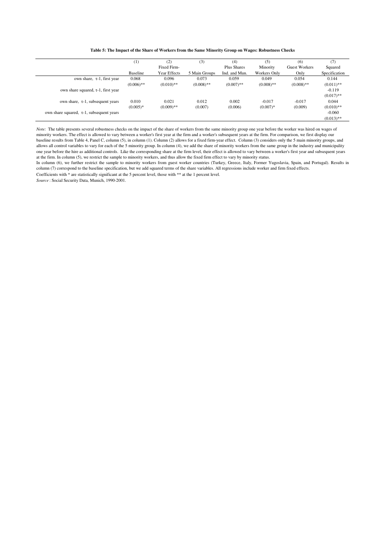#### **Table 5: The Impact of the Share of Workers from the Same Minority Group on Wages: Robustness Checks**

|                                                | $^{(1)}$     | (2)          | (3)           | (4)           | (5)          | (6)           | (7)           |
|------------------------------------------------|--------------|--------------|---------------|---------------|--------------|---------------|---------------|
|                                                |              | Fixed Firm-  |               | Plus Shares   | Minority     | Guest Workers | Squared       |
|                                                | Baseline     | Year Effects | 5 Main Groups | Ind. and Mun. | Workers Only | Only          | Specification |
| own share, $\tau$ -1, first year               | 0.068        | 0.096        | 0.073         | 0.059         | 0.049        | 0.054         | 0.144         |
|                                                | $(0.006)$ ** | $(0.010)$ ** | $(0.008)$ **  | $(0.007)$ **  | $(0.008)$ ** | $(0.008)$ **  | $(0.011)$ **  |
| own share squared, $\tau$ -1, first year       |              |              |               |               |              |               | $-0.119$      |
|                                                |              |              |               |               |              |               | $(0.017)$ **  |
| own share, $\tau$ -1, subsequent years         | 0.010        | 0.021        | 0.012         | 0.002         | $-0.017$     | $-0.017$      | 0.044         |
|                                                | $(0.005)*$   | $(0.009)$ ** | (0.007)       | (0.006)       | $(0.007)*$   | (0.009)       | $(0.010)$ **  |
| own share squared, $\tau$ -1, subsequent years |              |              |               |               |              |               | $-0.060$      |
|                                                |              |              |               |               |              |               | $(0.013)$ **  |

*Note:* The table presents several robustness checks on the impact of the share of workers from the same minority group one year before the worker was hired on wages of minority workers. The effect is allowed to vary between a worker's first year at the firm and a worker's subsequent years at the firm. For comparison, we first display our baseline results from Table 4, Panel C, column (5), in column (1). Column (2) allows for a fixed firm-year effect. Column (3) considers only the 5 main minority groups, and allows all control variables to vary for each of the 5 minority group. In column (4), we add the share of minority workers from the same group in the industry and municipality one year before the hire as additional controls. Like the corresponding share at the firm level, their effect is allowed to vary between a worker's first year and subsequent years at the firm. In column (5), we restrict the sample to minority workers, and thus allow the fixed firm effect to vary by minority status.

Coefficients with \* are statistically significant at the 5 percent level, those with \*\* at the 1 percent level. In column (6), we further restrict the sample to minority workers from guest worker countries (Turkey, Greece, Italy, Former Yugoslavia, Spain, and Portugal). Results in column (7) correspond to the baseline specification, but we add squared terms of the share variables. All regressions include worker and firm fixed effects.

*Source* : Social Security Data, Munich, 1990-2001.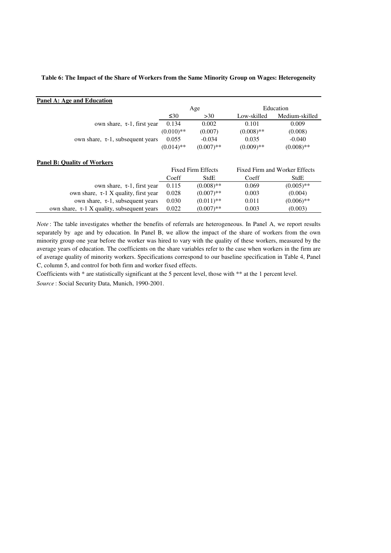#### **Table 6: The Impact of the Share of Workers from the Same Minority Group on Wages: Heterogeneity**

| Panel A: Age and Education                 |              |                           |              |                               |
|--------------------------------------------|--------------|---------------------------|--------------|-------------------------------|
|                                            |              | Age                       |              | Education                     |
|                                            | $\leq 30$    | >30                       | Low-skilled  | Medium-skilled                |
| own share, $\tau$ -1, first year           | 0.134        | 0.002                     | 0.101        | 0.009                         |
|                                            | $(0.010)$ ** | (0.007)                   | $(0.008)$ ** | (0.008)                       |
| own share, $\tau$ -1, subsequent years     | 0.055        | $-0.034$                  | 0.035        | $-0.040$                      |
|                                            | $(0.014)$ ** | $(0.007)$ **              | $(0.009)$ ** | $(0.008)$ **                  |
| <b>Panel B: Quality of Workers</b>         |              |                           |              |                               |
|                                            |              | <b>Fixed Firm Effects</b> |              | Fixed Firm and Worker Effects |
|                                            | Coeff        | StdE                      | Coeff        | StdE                          |
| own share, $\tau$ -1, first year           | 0.115        | $(0.008)$ **              | 0.069        | $(0.005)$ **                  |
| own share, $\tau$ -1 X quality, first year | 0.028        | $(0.007)$ **              | 0.003        | (0.004)                       |
| own share, $\tau$ -1, subsequent years     | 0.030        | $(0.011)$ **              | 0.011        | $(0.006)$ **                  |

*Note*: The table investigates whether the benefits of referrals are heterogeneous. In Panel A, we report results separately by age and by education. In Panel B, we allow the impact of the share of workers from the own minority group one year before the worker was hired to vary with the quality of these workers, measured by the average years of education. The coefficients on the share variables refer to the case when workers in the firm are of average quality of minority workers. Specifications correspond to our baseline specification in Table 4, Panel C, column 5, and control for both firm and worker fixed effects.

own share, τ-1 X quality, subsequent years 0.022 (0.007)\*\* 0.003 (0.003)

Coefficients with \* are statistically significant at the 5 percent level, those with \*\* at the 1 percent level.

*Source* : Social Security Data, Munich, 1990-2001.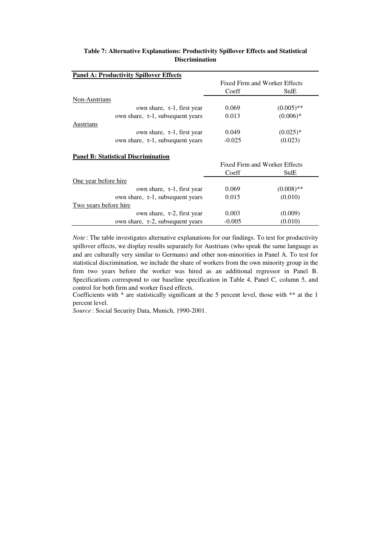|          | Fixed Firm and Worker Effects |
|----------|-------------------------------|
| Coeff    | StdE                          |
|          |                               |
| 0.069    | $(0.005)$ **                  |
| 0.013    | $(0.006)*$                    |
|          |                               |
| 0.049    | $(0.025)*$                    |
| $-0.025$ | (0.023)                       |
|          |                               |
|          |                               |
|          | Fixed Firm and Worker Effects |
| Coeff    | StdE                          |
|          |                               |
| 0.069    | $(0.008)$ **                  |
| 0.015    | (0.010)                       |
|          |                               |
| 0.003    | (0.009)                       |
| $-0.005$ | (0.010)                       |
|          |                               |

### **Table 7: Alternative Explanations: Productivity Spillover Effects and Statistical Discrimination**

*Note*: The table investigates alternative explanations for our findings. To test for productivity spillover effects, we display results separately for Austrians (who speak the same language as and are culturally very similar to Germans) and other non-minorities in Panel A. To test for statistical discrimination, we include the share of workers from the own minority group in the firm two years before the worker was hired as an additional regressor in Panel B. Specifications correspond to our baseline specification in Table 4, Panel C, column 5, and control for both firm and worker fixed effects.

Coefficients with \* are statistically significant at the 5 percent level, those with \*\* at the 1 percent level.

*Source* : Social Security Data, Munich, 1990-2001.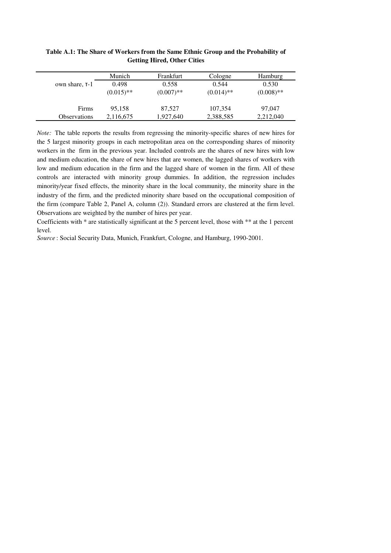|                     | Munich       | Frankfurt    | Cologne      | Hamburg      |
|---------------------|--------------|--------------|--------------|--------------|
| own share, $T-1$    | 0.498        | 0.558        | 0.544        | 0.530        |
|                     | $(0.015)$ ** | $(0.007)$ ** | $(0.014)$ ** | $(0.008)$ ** |
|                     |              |              |              |              |
| Firms               | 95,158       | 87,527       | 107,354      | 97,047       |
| <b>Observations</b> | 2,116,675    | 1,927,640    | 2,388,585    | 2,212,040    |

**Table A.1: The Share of Workers from the Same Ethnic Group and the Probability of Getting Hired, Other Cities**

*Note:* The table reports the results from regressing the minority-specific shares of new hires for the 5 largest minority groups in each metropolitan area on the corresponding shares of minority workers in the firm in the previous year. Included controls are the shares of new hires with low and medium education, the share of new hires that are women, the lagged shares of workers with low and medium education in the firm and the lagged share of women in the firm. All of these controls are interacted with minority group dummies. In addition, the regression includes minority/year fixed effects, the minority share in the local community, the minority share in the industry of the firm, and the predicted minority share based on the occupational composition of the firm (compare Table 2, Panel A, column (2)). Standard errors are clustered at the firm level. Observations are weighted by the number of hires per year.

Coefficients with \* are statistically significant at the 5 percent level, those with \*\* at the 1 percent level.

*Source* : Social Security Data, Munich, Frankfurt, Cologne, and Hamburg, 1990-2001.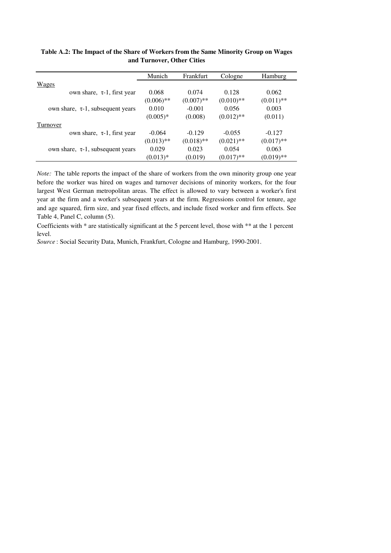|                                        | Munich       | Frankfurt    | Cologne      | Hamburg      |
|----------------------------------------|--------------|--------------|--------------|--------------|
| Wages                                  |              |              |              |              |
| own share, $\tau$ -1, first year       | 0.068        | 0.074        | 0.128        | 0.062        |
|                                        | $(0.006)$ ** | $(0.007)$ ** | $(0.010)$ ** | $(0.011)$ ** |
| own share, $\tau$ -1, subsequent years | 0.010        | $-0.001$     | 0.056        | 0.003        |
|                                        | $(0.005)*$   | (0.008)      | $(0.012)$ ** | (0.011)      |
| Turnover                               |              |              |              |              |
| own share, $\tau$ -1, first year       | $-0.064$     | $-0.129$     | $-0.055$     | $-0.127$     |
|                                        | $(0.013)$ ** | $(0.018)$ ** | $(0.021)$ ** | $(0.017)$ ** |
| own share, $\tau$ -1, subsequent years | 0.029        | 0.023        | 0.054        | 0.063        |
|                                        | $(0.013)*$   | (0.019)      | $(0.017)$ ** | $(0.019)$ ** |

**Table A.2: The Impact of the Share of Workers from the Same Minority Group on Wages and Turnover, Other Cities**

*Note:* The table reports the impact of the share of workers from the own minority group one year before the worker was hired on wages and turnover decisions of minority workers, for the four largest West German metropolitan areas. The effect is allowed to vary between a worker's first year at the firm and a worker's subsequent years at the firm. Regressions control for tenure, age and age squared, firm size, and year fixed effects, and include fixed worker and firm effects. See Table 4, Panel C, column (5).

Coefficients with \* are statistically significant at the 5 percent level, those with \*\* at the 1 percent level.

*Source* : Social Security Data, Munich, Frankfurt, Cologne and Hamburg, 1990-2001.